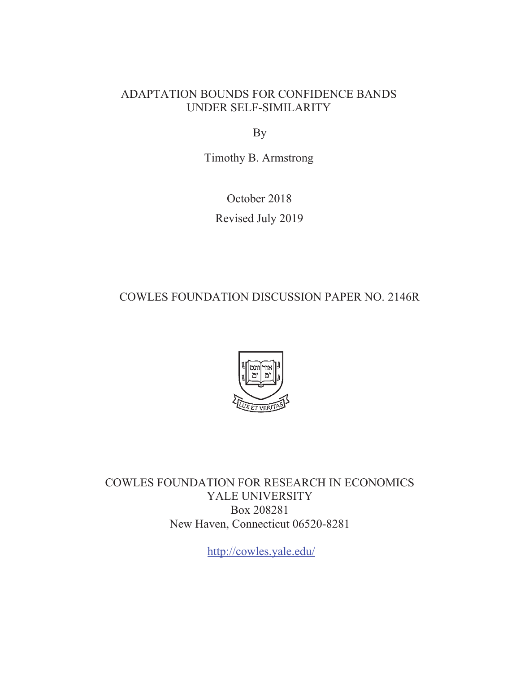### ADAPTATION BOUNDS FOR CONFIDENCE BANDS UNDER SELF-SIMILARITY

By

Timothy B. Armstrong

October 2018 Revised July 2019

COWLES FOUNDATION DISCUSSION PAPER NO. 2146R



COWLES FOUNDATION FOR RESEARCH IN ECONOMICS YALE UNIVERSITY Box 208281 New Haven, Connecticut 06520-8281

http://cowles.yale.edu/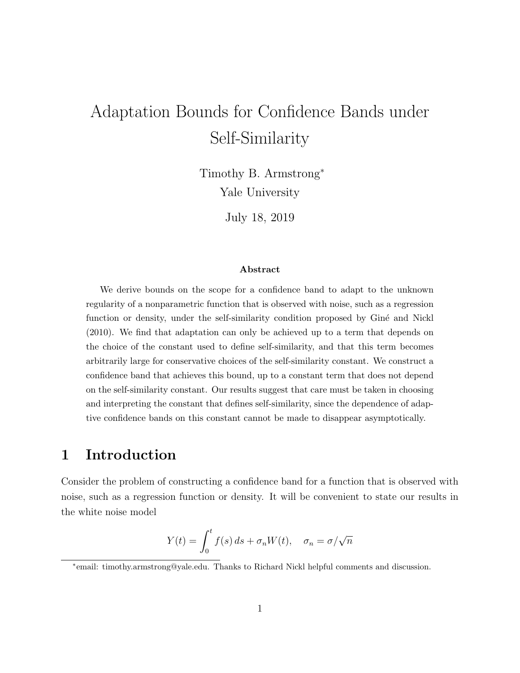# Adaptation Bounds for Confidence Bands under Self-Similarity

Timothy B. Armstrong<sup>∗</sup> Yale University

July 18, 2019

#### Abstract

We derive bounds on the scope for a confidence band to adapt to the unknown regularity of a nonparametric function that is observed with noise, such as a regression function or density, under the self-similarity condition proposed by Giné and Nickl (2010). We find that adaptation can only be achieved up to a term that depends on the choice of the constant used to define self-similarity, and that this term becomes arbitrarily large for conservative choices of the self-similarity constant. We construct a confidence band that achieves this bound, up to a constant term that does not depend on the self-similarity constant. Our results suggest that care must be taken in choosing and interpreting the constant that defines self-similarity, since the dependence of adaptive confidence bands on this constant cannot be made to disappear asymptotically.

### 1 Introduction

Consider the problem of constructing a confidence band for a function that is observed with noise, such as a regression function or density. It will be convenient to state our results in the white noise model

$$
Y(t) = \int_0^t f(s) \, ds + \sigma_n W(t), \quad \sigma_n = \sigma / \sqrt{n}
$$

∗ email: timothy.armstrong@yale.edu. Thanks to Richard Nickl helpful comments and discussion.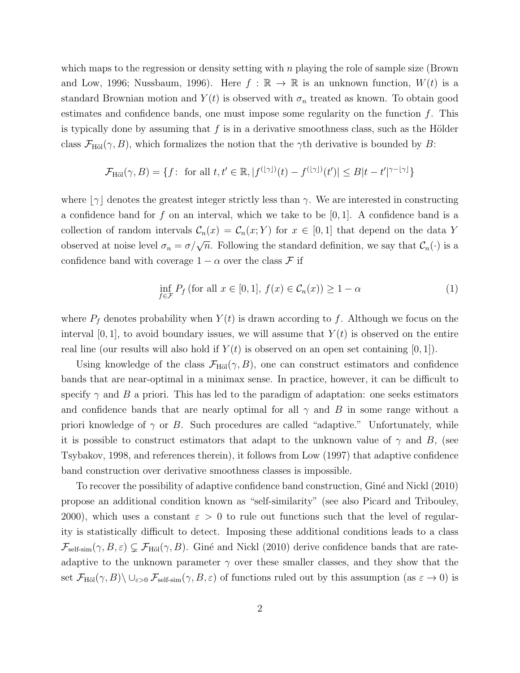which maps to the regression or density setting with  $n$  playing the role of sample size (Brown and Low, 1996; Nussbaum, 1996). Here  $f : \mathbb{R} \to \mathbb{R}$  is an unknown function,  $W(t)$  is a standard Brownian motion and  $Y(t)$  is observed with  $\sigma_n$  treated as known. To obtain good estimates and confidence bands, one must impose some regularity on the function  $f$ . This is typically done by assuming that f is in a derivative smoothness class, such as the Hölder class  $\mathcal{F}_{\text{H\"ol}}(\gamma, B)$ , which formalizes the notion that the  $\gamma$ th derivative is bounded by B:

$$
\mathcal{F}_{\text{H\"{o}l}}(\gamma, B) = \{ f: \text{ for all } t, t' \in \mathbb{R}, |f^{(\lfloor \gamma \rfloor)}(t) - f^{(\lfloor \gamma \rfloor)}(t')| \leq B|t - t'|^{\gamma - \lfloor \gamma \rfloor} \}
$$

where  $|\gamma|$  denotes the greatest integer strictly less than  $\gamma$ . We are interested in constructing a confidence band for f on an interval, which we take to be  $[0, 1]$ . A confidence band is a collection of random intervals  $\mathcal{C}_n(x) = \mathcal{C}_n(x; Y)$  for  $x \in [0, 1]$  that depend on the data Y observed at noise level  $\sigma_n = \sigma/\sqrt{n}$ . Following the standard definition, we say that  $\mathcal{C}_n(\cdot)$  is a confidence band with coverage  $1 - \alpha$  over the class F if

$$
\inf_{f \in \mathcal{F}} P_f \text{ (for all } x \in [0, 1], f(x) \in C_n(x) \ge 1 - \alpha \tag{1}
$$

where  $P_f$  denotes probability when  $Y(t)$  is drawn according to f. Although we focus on the interval  $[0, 1]$ , to avoid boundary issues, we will assume that  $Y(t)$  is observed on the entire real line (our results will also hold if  $Y(t)$  is observed on an open set containing  $[0, 1]$ ).

Using knowledge of the class  $\mathcal{F}_{\text{H\"ol}}(\gamma, B)$ , one can construct estimators and confidence bands that are near-optimal in a minimax sense. In practice, however, it can be difficult to specify  $\gamma$  and B a priori. This has led to the paradigm of adaptation: one seeks estimators and confidence bands that are nearly optimal for all  $\gamma$  and B in some range without a priori knowledge of  $\gamma$  or B. Such procedures are called "adaptive." Unfortunately, while it is possible to construct estimators that adapt to the unknown value of  $\gamma$  and B, (see Tsybakov, 1998, and references therein), it follows from Low (1997) that adaptive confidence band construction over derivative smoothness classes is impossible.

To recover the possibility of adaptive confidence band construction, Giné and Nickl (2010) propose an additional condition known as "self-similarity" (see also Picard and Tribouley, 2000), which uses a constant  $\varepsilon > 0$  to rule out functions such that the level of regularity is statistically difficult to detect. Imposing these additional conditions leads to a class  $\mathcal{F}_{\text{self-sim}}(\gamma, B, \varepsilon) \subsetneq \mathcal{F}_{\text{H\"ol}}(\gamma, B)$ . Giné and Nickl (2010) derive confidence bands that are rateadaptive to the unknown parameter  $\gamma$  over these smaller classes, and they show that the set  $\mathcal{F}_{\text{H\"ol}}(\gamma, B) \setminus \cup_{\varepsilon > 0} \mathcal{F}_{\text{self-sim}}(\gamma, B, \varepsilon)$  of functions ruled out by this assumption (as  $\varepsilon \to 0$ ) is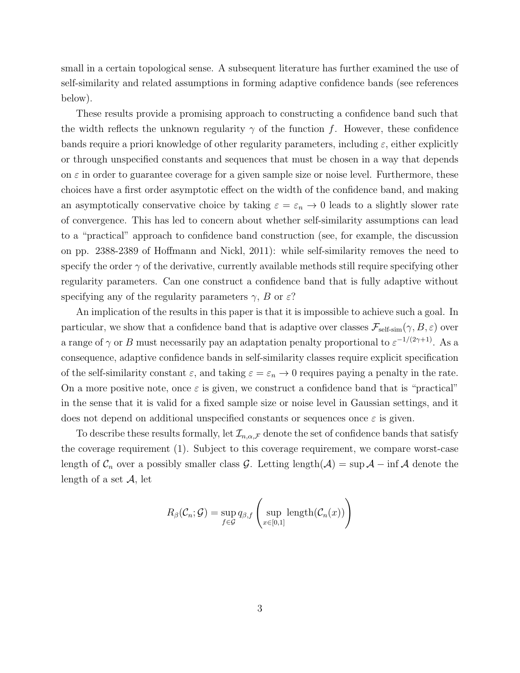small in a certain topological sense. A subsequent literature has further examined the use of self-similarity and related assumptions in forming adaptive confidence bands (see references below).

These results provide a promising approach to constructing a confidence band such that the width reflects the unknown regularity  $\gamma$  of the function f. However, these confidence bands require a priori knowledge of other regularity parameters, including  $\varepsilon$ , either explicitly or through unspecified constants and sequences that must be chosen in a way that depends on  $\varepsilon$  in order to guarantee coverage for a given sample size or noise level. Furthermore, these choices have a first order asymptotic effect on the width of the confidence band, and making an asymptotically conservative choice by taking  $\varepsilon = \varepsilon_n \to 0$  leads to a slightly slower rate of convergence. This has led to concern about whether self-similarity assumptions can lead to a "practical" approach to confidence band construction (see, for example, the discussion on pp. 2388-2389 of Hoffmann and Nickl, 2011): while self-similarity removes the need to specify the order  $\gamma$  of the derivative, currently available methods still require specifying other regularity parameters. Can one construct a confidence band that is fully adaptive without specifying any of the regularity parameters  $\gamma$ , B or  $\varepsilon$ ?

An implication of the results in this paper is that it is impossible to achieve such a goal. In particular, we show that a confidence band that is adaptive over classes  $\mathcal{F}_{\text{self-sim}}(\gamma, B, \varepsilon)$  over a range of  $\gamma$  or B must necessarily pay an adaptation penalty proportional to  $\varepsilon^{-1/(2\gamma+1)}$ . As a consequence, adaptive confidence bands in self-similarity classes require explicit specification of the self-similarity constant  $\varepsilon$ , and taking  $\varepsilon = \varepsilon_n \to 0$  requires paying a penalty in the rate. On a more positive note, once  $\varepsilon$  is given, we construct a confidence band that is "practical" in the sense that it is valid for a fixed sample size or noise level in Gaussian settings, and it does not depend on additional unspecified constants or sequences once  $\varepsilon$  is given.

To describe these results formally, let  $\mathcal{I}_{n,\alpha,\mathcal{F}}$  denote the set of confidence bands that satisfy the coverage requirement (1). Subject to this coverage requirement, we compare worst-case length of  $\mathcal{C}_n$  over a possibly smaller class G. Letting length( $\mathcal{A}$ ) = sup  $\mathcal{A}$  – inf  $\mathcal{A}$  denote the length of a set  $\mathcal{A}$ , let

$$
R_{\beta}(\mathcal{C}_n; \mathcal{G}) = \sup_{f \in \mathcal{G}} q_{\beta, f} \left( \sup_{x \in [0,1]} \text{length}(\mathcal{C}_n(x)) \right)
$$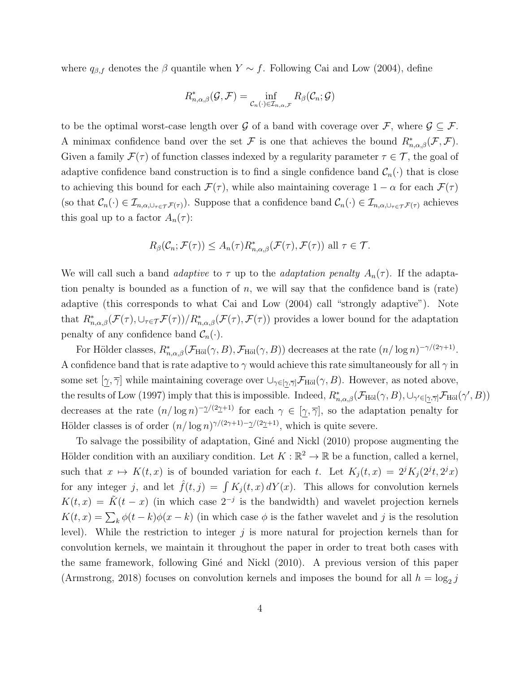where  $q_{\beta,f}$  denotes the  $\beta$  quantile when  $Y \sim f$ . Following Cai and Low (2004), define

$$
R_{n,\alpha,\beta}^*(\mathcal{G},\mathcal{F})=\inf_{\mathcal{C}_n(\cdot)\in\mathcal{I}_{n,\alpha,\mathcal{F}}}R_\beta(\mathcal{C}_n;\mathcal{G})
$$

to be the optimal worst-case length over G of a band with coverage over F, where  $\mathcal{G} \subset \mathcal{F}$ . A minimax confidence band over the set F is one that achieves the bound  $R^*_{n,\alpha,\beta}(\mathcal{F},\mathcal{F})$ . Given a family  $\mathcal{F}(\tau)$  of function classes indexed by a regularity parameter  $\tau \in \mathcal{T}$ , the goal of adaptive confidence band construction is to find a single confidence band  $\mathcal{C}_n(\cdot)$  that is close to achieving this bound for each  $\mathcal{F}(\tau)$ , while also maintaining coverage  $1 - \alpha$  for each  $\mathcal{F}(\tau)$ (so that  $\mathcal{C}_n(\cdot) \in \mathcal{I}_{n,\alpha,\cup_{\tau \in \mathcal{T}} \mathcal{F}(\tau)}$ ). Suppose that a confidence band  $\mathcal{C}_n(\cdot) \in \mathcal{I}_{n,\alpha,\cup_{\tau \in \mathcal{T}} \mathcal{F}(\tau)}$  achieves this goal up to a factor  $A_n(\tau)$ :

$$
R_{\beta}(\mathcal{C}_n; \mathcal{F}(\tau)) \leq A_n(\tau) R_{n, \alpha, \beta}^*(\mathcal{F}(\tau), \mathcal{F}(\tau)) \text{ all } \tau \in \mathcal{T}.
$$

We will call such a band *adaptive* to  $\tau$  up to the *adaptation penalty*  $A_n(\tau)$ . If the adaptation penalty is bounded as a function of  $n$ , we will say that the confidence band is (rate) adaptive (this corresponds to what Cai and Low (2004) call "strongly adaptive"). Note that  $R^*_{n,\alpha,\beta}(\mathcal{F}(\tau),\cup_{\tau\in\mathcal{T}}\mathcal{F}(\tau))/R^*_{n,\alpha,\beta}(\mathcal{F}(\tau),\mathcal{F}(\tau))$  provides a lower bound for the adaptation penalty of any confidence band  $\mathcal{C}_n(\cdot)$ .

For Hölder classes,  $R_{n,\alpha,\beta}^*(\mathcal{F}_{\text{H\"ol}}(\gamma,B),\mathcal{F}_{\text{H\"ol}}(\gamma,B))$  decreases at the rate  $(n/\log n)^{-\gamma/(2\gamma+1)}$ . A confidence band that is rate adaptive to  $\gamma$  would achieve this rate simultaneously for all  $\gamma$  in some set  $[\gamma, \overline{\gamma}]$  while maintaining coverage over  $\cup_{\gamma \in [\gamma, \overline{\gamma}]} \mathcal{F}_{\text{H\"ol}}(\gamma, B)$ . However, as noted above, the results of Low (1997) imply that this is impossible. Indeed,  $R^*_{n,\alpha,\beta}(\mathcal{F}_{\text{H\"ol}}(\gamma,B), \cup_{\gamma' \in [\gamma,\overline{\gamma}]} \mathcal{F}_{\text{H\"ol}}(\gamma',B))$ decreases at the rate  $(n/\log n)^{-\gamma/(2\gamma+1)}$  for each  $\gamma \in [\gamma,\overline{\gamma}]$ , so the adaptation penalty for Hölder classes is of order  $(n/\log n)^{\gamma/(2\gamma+1)-\gamma/(2\gamma+1)}$ , which is quite severe.

To salvage the possibility of adaptation, Giné and Nickl (2010) propose augmenting the Hölder condition with an auxiliary condition. Let  $K : \mathbb{R}^2 \to \mathbb{R}$  be a function, called a kernel, such that  $x \mapsto K(t, x)$  is of bounded variation for each t. Let  $K_j(t, x) = 2^j K_j(2^j t, 2^j x)$ for any integer j, and let  $\hat{f}(t, j) = \int K_j(t, x) dY(x)$ . This allows for convolution kernels  $K(t, x) = \tilde{K}(t - x)$  (in which case  $2^{-j}$  is the bandwidth) and wavelet projection kernels  $K(t, x) = \sum_{k} \phi(t - k) \phi(x - k)$  (in which case  $\phi$  is the father wavelet and j is the resolution level). While the restriction to integer  $j$  is more natural for projection kernels than for convolution kernels, we maintain it throughout the paper in order to treat both cases with the same framework, following Giné and Nickl (2010). A previous version of this paper (Armstrong, 2018) focuses on convolution kernels and imposes the bound for all  $h = \log_2 j$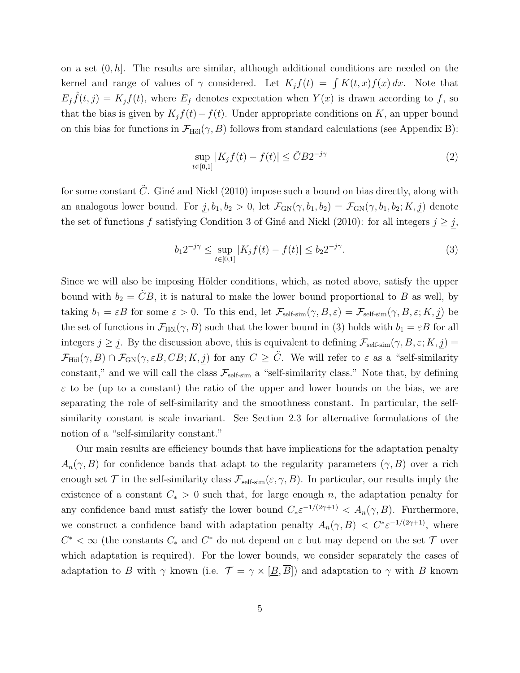on a set  $(0, \overline{h})$ . The results are similar, although additional conditions are needed on the kernel and range of values of  $\gamma$  considered. Let  $K_j f(t) = \int K(t, x) f(x) dx$ . Note that  $E_f \hat{f}(t, j) = K_j f(t)$ , where  $E_f$  denotes expectation when  $Y(x)$  is drawn according to f, so that the bias is given by  $K_j f(t) - f(t)$ . Under appropriate conditions on K, an upper bound on this bias for functions in  $\mathcal{F}_{\text{H\"ol}}(\gamma, B)$  follows from standard calculations (see Appendix B):

$$
\sup_{t \in [0,1]} |K_j f(t) - f(t)| \le \tilde{C} B 2^{-j\gamma} \tag{2}
$$

for some constant  $\tilde{C}$ . Giné and Nickl (2010) impose such a bound on bias directly, along with an analogous lower bound. For  $j, b_1, b_2 > 0$ , let  $\mathcal{F}_{GN}(\gamma, b_1, b_2) = \mathcal{F}_{GN}(\gamma, b_1, b_2; K, j)$  denote the set of functions f satisfying Condition 3 of Giné and Nickl (2010): for all integers  $j \geq j$ ,

$$
b_1 2^{-j\gamma} \le \sup_{t \in [0,1]} |K_j f(t) - f(t)| \le b_2 2^{-j\gamma}.
$$
 (3)

Since we will also be imposing Hölder conditions, which, as noted above, satisfy the upper bound with  $b_2 = \tilde{C}B$ , it is natural to make the lower bound proportional to B as well, by taking  $b_1 = \varepsilon B$  for some  $\varepsilon > 0$ . To this end, let  $\mathcal{F}_{\text{self-sim}}(\gamma, B, \varepsilon) = \mathcal{F}_{\text{self-sim}}(\gamma, B, \varepsilon; K, j)$  be the set of functions in  $\mathcal{F}_{\text{H\"ol}}(\gamma, B)$  such that the lower bound in (3) holds with  $b_1 = \varepsilon B$  for all integers  $j \geq j$ . By the discussion above, this is equivalent to defining  $\mathcal{F}_{\text{self-sim}}(\gamma, B, \varepsilon; K, j) =$  $\mathcal{F}_{\text{H\"ol}}(\gamma, B) \cap \mathcal{F}_{\text{GN}}(\gamma, \varepsilon B, CB; K, j)$  for any  $C \geq \tilde{C}$ . We will refer to  $\varepsilon$  as a "self-similarity" constant," and we will call the class  $\mathcal{F}_{\text{self-sim}}$  a "self-similarity class." Note that, by defining  $\varepsilon$  to be (up to a constant) the ratio of the upper and lower bounds on the bias, we are separating the role of self-similarity and the smoothness constant. In particular, the selfsimilarity constant is scale invariant. See Section 2.3 for alternative formulations of the notion of a "self-similarity constant."

Our main results are efficiency bounds that have implications for the adaptation penalty  $A_n(\gamma, B)$  for confidence bands that adapt to the regularity parameters  $(\gamma, B)$  over a rich enough set  $\mathcal T$  in the self-similarity class  $\mathcal F_{\text{self-sim}}(\varepsilon,\gamma,B)$ . In particular, our results imply the existence of a constant  $C_* > 0$  such that, for large enough n, the adaptation penalty for any confidence band must satisfy the lower bound  $C_* \varepsilon^{-1/(2\gamma+1)} < A_n(\gamma, B)$ . Furthermore, we construct a confidence band with adaptation penalty  $A_n(\gamma, B) < C^* \varepsilon^{-1/(2\gamma+1)}$ , where  $C^* < \infty$  (the constants  $C_*$  and  $C^*$  do not depend on  $\varepsilon$  but may depend on the set  $\mathcal T$  over which adaptation is required). For the lower bounds, we consider separately the cases of adaptation to B with  $\gamma$  known (i.e.  $\mathcal{T} = \gamma \times [\underline{B}, \overline{B}]$ ) and adaptation to  $\gamma$  with B known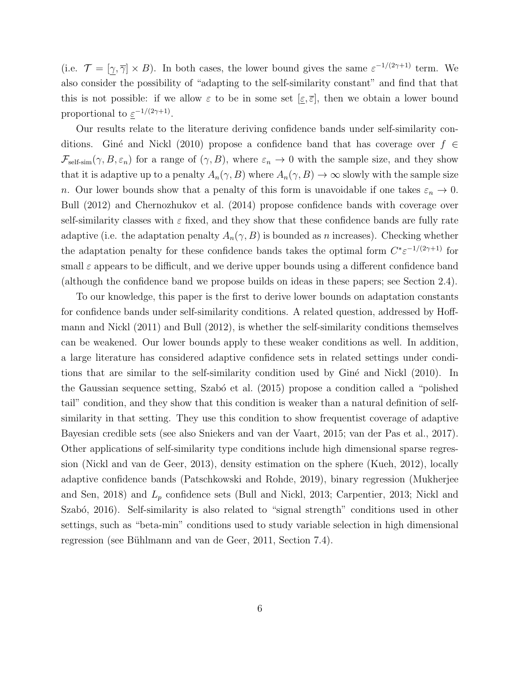(i.e.  $\mathcal{T} = [\gamma, \overline{\gamma}] \times B$ ). In both cases, the lower bound gives the same  $\varepsilon^{-1/(2\gamma+1)}$  term. We also consider the possibility of "adapting to the self-similarity constant" and find that that this is not possible: if we allow  $\varepsilon$  to be in some set  $[\varepsilon, \overline{\varepsilon}]$ , then we obtain a lower bound proportional to  $\varepsilon^{-1/(2\gamma+1)}$ .

Our results relate to the literature deriving confidence bands under self-similarity conditions. Giné and Nickl (2010) propose a confidence band that has coverage over  $f \in$  $\mathcal{F}_{\text{self-sim}}(\gamma, B, \varepsilon_n)$  for a range of  $(\gamma, B)$ , where  $\varepsilon_n \to 0$  with the sample size, and they show that it is adaptive up to a penalty  $A_n(\gamma, B)$  where  $A_n(\gamma, B) \to \infty$  slowly with the sample size n. Our lower bounds show that a penalty of this form is unavoidable if one takes  $\varepsilon_n \to 0$ . Bull (2012) and Chernozhukov et al. (2014) propose confidence bands with coverage over self-similarity classes with  $\varepsilon$  fixed, and they show that these confidence bands are fully rate adaptive (i.e. the adaptation penalty  $A_n(\gamma, B)$  is bounded as n increases). Checking whether the adaptation penalty for these confidence bands takes the optimal form  $C^* \varepsilon^{-1/(2\gamma+1)}$  for small  $\varepsilon$  appears to be difficult, and we derive upper bounds using a different confidence band (although the confidence band we propose builds on ideas in these papers; see Section 2.4).

To our knowledge, this paper is the first to derive lower bounds on adaptation constants for confidence bands under self-similarity conditions. A related question, addressed by Hoffmann and Nickl (2011) and Bull (2012), is whether the self-similarity conditions themselves can be weakened. Our lower bounds apply to these weaker conditions as well. In addition, a large literature has considered adaptive confidence sets in related settings under conditions that are similar to the self-similarity condition used by Giné and Nickl (2010). In the Gaussian sequence setting, Szabó et al.  $(2015)$  propose a condition called a "polished" tail" condition, and they show that this condition is weaker than a natural definition of selfsimilarity in that setting. They use this condition to show frequentist coverage of adaptive Bayesian credible sets (see also Sniekers and van der Vaart, 2015; van der Pas et al., 2017). Other applications of self-similarity type conditions include high dimensional sparse regression (Nickl and van de Geer, 2013), density estimation on the sphere (Kueh, 2012), locally adaptive confidence bands (Patschkowski and Rohde, 2019), binary regression (Mukherjee and Sen, 2018) and  $L_p$  confidence sets (Bull and Nickl, 2013; Carpentier, 2013; Nickl and Szabó, 2016). Self-similarity is also related to "signal strength" conditions used in other settings, such as "beta-min" conditions used to study variable selection in high dimensional regression (see Bühlmann and van de Geer, 2011, Section 7.4).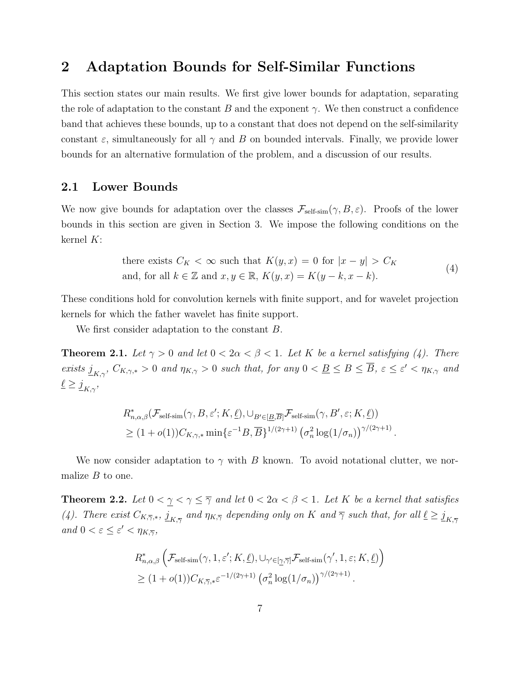### 2 Adaptation Bounds for Self-Similar Functions

This section states our main results. We first give lower bounds for adaptation, separating the role of adaptation to the constant B and the exponent  $\gamma$ . We then construct a confidence band that achieves these bounds, up to a constant that does not depend on the self-similarity constant  $\varepsilon$ , simultaneously for all  $\gamma$  and B on bounded intervals. Finally, we provide lower bounds for an alternative formulation of the problem, and a discussion of our results.

### 2.1 Lower Bounds

We now give bounds for adaptation over the classes  $\mathcal{F}_{\text{self-sim}}(\gamma, B, \varepsilon)$ . Proofs of the lower bounds in this section are given in Section 3. We impose the following conditions on the kernel K:

there exists 
$$
C_K < \infty
$$
 such that  $K(y, x) = 0$  for  $|x - y| > C_K$   
and, for all  $k \in \mathbb{Z}$  and  $x, y \in \mathbb{R}$ ,  $K(y, x) = K(y - k, x - k)$ . (4)

These conditions hold for convolution kernels with finite support, and for wavelet projection kernels for which the father wavelet has finite support.

We first consider adaptation to the constant B.

**Theorem 2.1.** Let  $\gamma > 0$  and let  $0 < 2\alpha < \beta < 1$ . Let K be a kernel satisfying (4). There exists  $j_{K,\gamma}$ ,  $C_{K,\gamma,*} > 0$  and  $\eta_{K,\gamma} > 0$  such that, for any  $0 < B \leq B \leq \overline{B}$ ,  $\varepsilon \leq \varepsilon' < \eta_{K,\gamma}$  and  $\underline{\ell} \geq \underline{j}_{K,\gamma},$ 

$$
R_{n,\alpha,\beta}^{*}(\mathcal{F}_{\text{self-sim}}(\gamma, B, \varepsilon'; K, \underline{\ell}), \cup_{B' \in [\underline{B}, \overline{B}]} \mathcal{F}_{\text{self-sim}}(\gamma, B', \varepsilon; K, \underline{\ell}))
$$
  

$$
\geq (1 + o(1))C_{K,\gamma,*} \min \{ \varepsilon^{-1}B, \overline{B} \}^{1/(2\gamma+1)} \left( \sigma_n^2 \log(1/\sigma_n) \right)^{\gamma/(2\gamma+1)}.
$$

We now consider adaptation to  $\gamma$  with B known. To avoid notational clutter, we normalize  $B$  to one.

**Theorem 2.2.** Let  $0 < \gamma < \gamma \leq \overline{\gamma}$  and let  $0 < 2\alpha < \beta < 1$ . Let K be a kernel that satisfies (4). There exist  $C_{K,\overline{\gamma},*}, \underline{j}_{K,\overline{\gamma}}$  and  $\eta_{K,\overline{\gamma}}$  depending only on K and  $\overline{\gamma}$  such that, for all  $\underline{\ell} \ge \underline{j}_{K,\overline{\gamma}}$ and  $0 < \varepsilon \leq \varepsilon' < \eta_{K,\overline{\gamma}},$ 

$$
R_{n,\alpha,\beta}^{*} \left( \mathcal{F}_{\text{self-sim}}(\gamma, 1, \varepsilon'; K, \underline{\ell}), \cup_{\gamma' \in [\underline{\gamma}, \overline{\gamma}]} \mathcal{F}_{\text{self-sim}}(\gamma', 1, \varepsilon; K, \underline{\ell}) \right)
$$
  
\n
$$
\geq (1 + o(1)) C_{K, \overline{\gamma}, *}\varepsilon^{-1/(2\gamma + 1)} \left( \sigma_n^2 \log(1/\sigma_n) \right)^{\gamma/(2\gamma + 1)}.
$$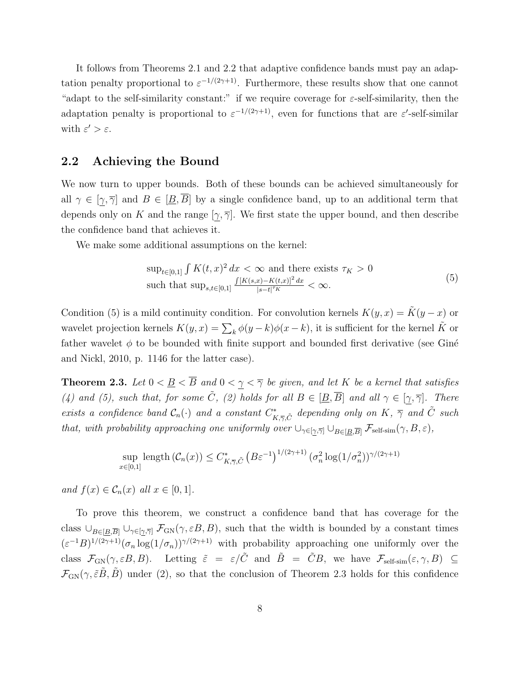It follows from Theorems 2.1 and 2.2 that adaptive confidence bands must pay an adaptation penalty proportional to  $\varepsilon^{-1/(2\gamma+1)}$ . Furthermore, these results show that one cannot "adapt to the self-similarity constant:" if we require coverage for  $\varepsilon$ -self-similarity, then the adaptation penalty is proportional to  $\varepsilon^{-1/(2\gamma+1)}$ , even for functions that are  $\varepsilon'$ -self-similar with  $\varepsilon' > \varepsilon$ .

#### 2.2 Achieving the Bound

We now turn to upper bounds. Both of these bounds can be achieved simultaneously for all  $\gamma \in [\gamma, \overline{\gamma}]$  and  $B \in [\underline{B}, \overline{B}]$  by a single confidence band, up to an additional term that depends only on K and the range  $[\gamma, \overline{\gamma}]$ . We first state the upper bound, and then describe the confidence band that achieves it.

We make some additional assumptions on the kernel:

$$
\sup_{t \in [0,1]} \int K(t,x)^2 dx < \infty \text{ and there exists } \tau_K > 0
$$
\nsuch that

\n
$$
\sup_{s,t \in [0,1]} \frac{\int [K(s,x) - K(t,x)]^2 dx}{|s-t|^{\tau_K}} < \infty.
$$
\n(5)

Condition (5) is a mild continuity condition. For convolution kernels  $K(y, x) = \tilde{K}(y - x)$  or wavelet projection kernels  $K(y, x) = \sum_{k} \phi(y - k) \phi(x - k)$ , it is sufficient for the kernel  $\tilde{K}$  or father wavelet  $\phi$  to be bounded with finite support and bounded first derivative (see Giné and Nickl, 2010, p. 1146 for the latter case).

**Theorem 2.3.** Let  $0 < \underline{B} < \overline{B}$  and  $0 < \gamma < \overline{\gamma}$  be given, and let K be a kernel that satisfies (4) and (5), such that, for some  $\tilde{C}$ , (2) holds for all  $B \in [\underline{B}, \overline{B}]$  and all  $\gamma \in [\gamma, \overline{\gamma}]$ . There exists a confidence band  $C_n(\cdot)$  and a constant  $C^*_{K,\overline{\gamma},\tilde{C}}$  depending only on  $K, \overline{\gamma}$  and  $\tilde{C}$  such that, with probability approaching one uniformly over  $\cup_{\gamma \in [\gamma, \overline{\gamma}]} \cup_{B \in [B, \overline{B}]} \mathcal{F}_{\text{self-sim}}(\gamma, B, \varepsilon)$ ,

$$
\sup_{x\in[0,1]}\text{length}\left(\mathcal{C}_n(x)\right)\leq C^*_{K,\overline{\gamma},\tilde{C}}\left(B\varepsilon^{-1}\right)^{1/(2\gamma+1)}\left(\sigma_n^2\log(1/\sigma_n^2)\right)^{\gamma/(2\gamma+1)}
$$

and  $f(x) \in \mathcal{C}_n(x)$  all  $x \in [0,1]$ .

To prove this theorem, we construct a confidence band that has coverage for the class  $\cup_{B\in [B,\overline{B}]} \cup_{\gamma\in [\gamma,\overline{\gamma}]} \mathcal{F}_{GN}(\gamma,\varepsilon B,B)$ , such that the width is bounded by a constant times  $(\varepsilon^{-1}B)^{1/(2\gamma+1)}(\sigma_n \log(1/\sigma_n))^{\gamma/(2\gamma+1)}$  with probability approaching one uniformly over the class  $\mathcal{F}_{GN}(\gamma,\varepsilon B,B)$ . Letting  $\tilde{\varepsilon} = \varepsilon/\tilde{C}$  and  $\tilde{B} = \tilde{C}B$ , we have  $\mathcal{F}_{self-sim}(\varepsilon,\gamma,B) \subseteq$  $\mathcal{F}_{GN}(\gamma, \tilde{\varepsilon}\tilde{B}, \tilde{B})$  under (2), so that the conclusion of Theorem 2.3 holds for this confidence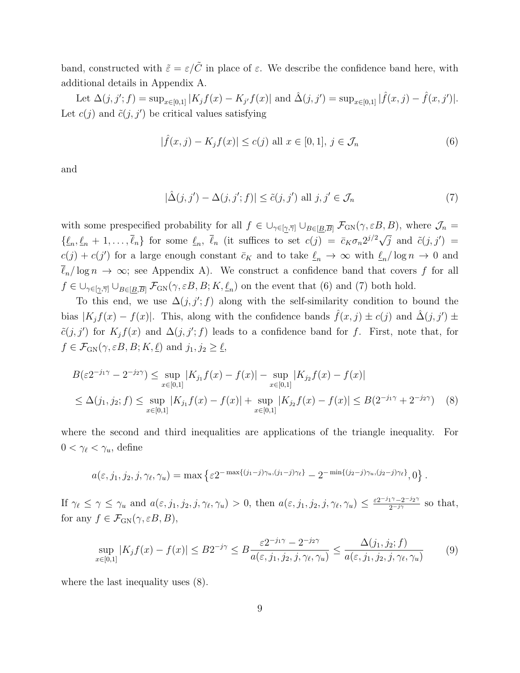band, constructed with  $\tilde{\varepsilon} = \varepsilon/\tilde{C}$  in place of  $\varepsilon$ . We describe the confidence band here, with additional details in Appendix A.

Let  $\Delta(j, j'; f) = \sup_{x \in [0,1]} |K_j f(x) - K_{j'} f(x)|$  and  $\hat{\Delta}(j, j') = \sup_{x \in [0,1]} |\hat{f}(x, j) - \hat{f}(x, j')|$ . Let  $c(j)$  and  $\tilde{c}(j, j')$  be critical values satisfying

$$
|\hat{f}(x,j) - K_j f(x)| \le c(j) \text{ all } x \in [0,1], j \in \mathcal{J}_n
$$
\n
$$
(6)
$$

and

$$
|\hat{\Delta}(j, j') - \Delta(j, j'; f)| \le \tilde{c}(j, j') \text{ all } j, j' \in \mathcal{J}_n
$$
\n(7)

with some prespecified probability for all  $f \in \bigcup_{\gamma \in [\gamma, \overline{\gamma}]} \bigcup_{B \in [\underline{B}, \overline{B}]} \mathcal{F}_{GN}(\gamma, \varepsilon B, B)$ , where  $\mathcal{J}_n =$  $\{\underline{\ell}_n, \underline{\ell}_n + 1, \ldots, \overline{\ell}_n\}$  for some  $\underline{\ell}_n$ ,  $\overline{\ell}_n$  (it suffices to set  $c(j) = \overline{c}_K \sigma_n 2^{j/2} \sqrt{j}$  and  $\tilde{c}(j, j')$  $c(j) + c(j')$  for a large enough constant  $\bar{c}_K$  and to take  $\underline{\ell}_n \to \infty$  with  $\underline{\ell}_n/\log n \to 0$  and  $\overline{\ell}_n/\log n \to \infty$ ; see Appendix A). We construct a confidence band that covers f for all  $f \in \bigcup_{\gamma \in [\gamma, \overline{\gamma}]} \bigcup_{B \in [\underline{B}, \overline{B}]} \mathcal{F}_{GN}(\gamma, \varepsilon B, B; K, \underline{\ell}_n)$  on the event that (6) and (7) both hold.

To this end, we use  $\Delta(j, j'; f)$  along with the self-similarity condition to bound the bias  $|K_jf(x) - f(x)|$ . This, along with the confidence bands  $\hat{f}(x, j) \pm c(j)$  and  $\hat{\Delta}(j, j') \pm c(j)$  $\tilde{c}(j, j')$  for  $K_j f(x)$  and  $\Delta(j, j'; f)$  leads to a confidence band for f. First, note that, for  $f \in \mathcal{F}_{GN}(\gamma, \varepsilon B, B; K, \underline{\ell})$  and  $j_1, j_2 \ge \underline{\ell},$ 

$$
B(\varepsilon 2^{-j_1\gamma} - 2^{-j_2\gamma}) \le \sup_{x \in [0,1]} |K_{j_1}f(x) - f(x)| - \sup_{x \in [0,1]} |K_{j_2}f(x) - f(x)|
$$
  
\n
$$
\le \Delta(j_1, j_2; f) \le \sup_{x \in [0,1]} |K_{j_1}f(x) - f(x)| + \sup_{x \in [0,1]} |K_{j_2}f(x) - f(x)| \le B(2^{-j_1\gamma} + 2^{-j_2\gamma}) \quad (8)
$$

where the second and third inequalities are applications of the triangle inequality. For  $0 < \gamma_{\ell} < \gamma_{u}$ , define

$$
a(\varepsilon, j_1, j_2, j, \gamma_\ell, \gamma_u) = \max \left\{ \varepsilon 2^{-\max\{(j_1 - j)\gamma_u, (j_1 - j)\gamma_\ell\}} - 2^{-\min\{(j_2 - j)\gamma_u, (j_2 - j)\gamma_\ell\}}, 0 \right\}.
$$

If  $\gamma_{\ell} \leq \gamma \leq \gamma_u$  and  $a(\varepsilon, j_1, j_2, j, \gamma_{\ell}, \gamma_u) > 0$ , then  $a(\varepsilon, j_1, j_2, j, \gamma_{\ell}, \gamma_u) \leq \frac{\varepsilon 2^{-j_1 \gamma} - 2^{-j_2 \gamma}}{2^{-j_1 \gamma}}$  so that, for any  $f \in \mathcal{F}_{GN}(\gamma, \varepsilon B, B)$ ,

$$
\sup_{x\in[0,1]}|K_jf(x)-f(x)| \le B2^{-j\gamma} \le B\frac{\varepsilon 2^{-j_1\gamma}-2^{-j_2\gamma}}{a(\varepsilon,j_1,j_2,j,\gamma_\ell,\gamma_u)} \le \frac{\Delta(j_1,j_2;f)}{a(\varepsilon,j_1,j_2,j,\gamma_\ell,\gamma_u)}\tag{9}
$$

where the last inequality uses (8).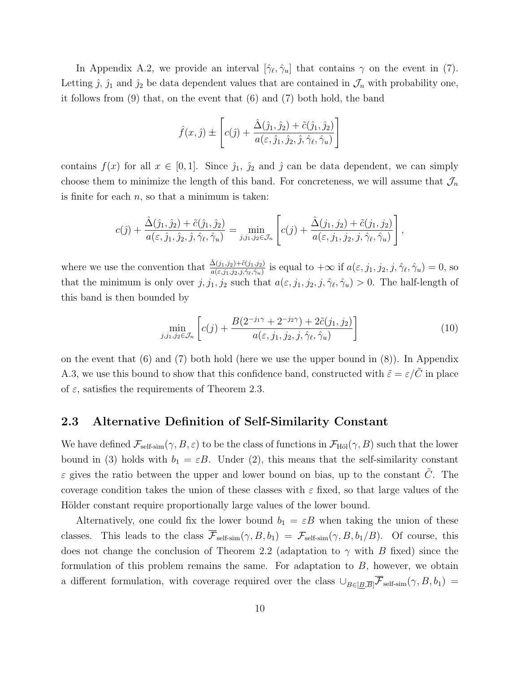In Appendix A.2, we provide an interval  $[\hat{\gamma}_{\ell}, \hat{\gamma}_{u}]$  that contains  $\gamma$  on the event in (7). Letting  $\hat{j}$ ,  $\hat{j}_1$  and  $\hat{j}_2$  be data dependent values that are contained in  $\mathcal{J}_n$  with probability one, it follows from  $(9)$  that, on the event that  $(6)$  and  $(7)$  both hold, the band

$$
\hat{f}(x,\hat{j}) \pm \left[c(\hat{j}) + \frac{\hat{\Delta}(\hat{j}_1,\hat{j}_2) + \tilde{c}(\hat{j}_1,\hat{j}_2)}{a(\varepsilon,\hat{j}_1,\hat{j}_2,\hat{j},\hat{\gamma}_\ell,\hat{\gamma}_u)}\right]
$$

contains  $f(x)$  for all  $x \in [0,1]$ . Since  $\hat{j}_1$ ,  $\hat{j}_2$  and  $\hat{j}$  can be data dependent, we can simply choose them to minimize the length of this band. For concreteness, we will assume that  $\mathcal{J}_n$ is finite for each  $n$ , so that a minimum is taken:

$$
c(\hat{j}) + \frac{\hat{\Delta}(\hat{j}_1, \hat{j}_2) + \tilde{c}(\hat{j}_1, \hat{j}_2)}{a(\varepsilon, \hat{j}_1, \hat{j}_2, \hat{j}, \hat{\gamma}_\ell, \hat{\gamma}_u)} = \min_{j, j_1, j_2 \in \mathcal{J}_n} \left[ c(j) + \frac{\hat{\Delta}(j_1, j_2) + \tilde{c}(j_1, j_2)}{a(\varepsilon, j_1, j_2, j, \hat{\gamma}_\ell, \hat{\gamma}_u)} \right],
$$

where we use the convention that  $\frac{\hat{\Delta}(j_1,j_2)+\tilde{c}(j_1,j_2)}{a(\varepsilon,j_1,j_2,j,\hat{\gamma}_\ell,\hat{\gamma}_u)}$  is equal to  $+\infty$  if  $a(\varepsilon,j_1,j_2,j,\hat{\gamma}_\ell,\hat{\gamma}_u)=0$ , so that the minimum is only over  $j, j_1, j_2$  such that  $a(\epsilon, j_1, j_2, j, \hat{\gamma}_\ell, \hat{\gamma}_u) > 0$ . The half-length of this band is then bounded by

$$
\min_{j,j_1,j_2 \in \mathcal{J}_n} \left[ c(j) + \frac{B(2^{-j_1 \gamma} + 2^{-j_2 \gamma}) + 2\tilde{c}(j_1, j_2)}{a(\varepsilon, j_1, j_2, j, \hat{\gamma}_\ell, \hat{\gamma}_u)} \right]
$$
(10)

on the event that (6) and (7) both hold (here we use the upper bound in (8)). In Appendix A.3, we use this bound to show that this confidence band, constructed with  $\tilde{\varepsilon} = \varepsilon/\tilde{C}$  in place of  $\varepsilon$ , satisfies the requirements of Theorem 2.3.

#### 2.3 Alternative Definition of Self-Similarity Constant

We have defined  $\mathcal{F}_{\text{self-sim}}(\gamma, B, \varepsilon)$  to be the class of functions in  $\mathcal{F}_{\text{H\"ol}}(\gamma, B)$  such that the lower bound in (3) holds with  $b_1 = \varepsilon B$ . Under (2), this means that the self-similarity constant  $\varepsilon$  gives the ratio between the upper and lower bound on bias, up to the constant  $\tilde{C}$ . The coverage condition takes the union of these classes with  $\varepsilon$  fixed, so that large values of the Hölder constant require proportionally large values of the lower bound.

Alternatively, one could fix the lower bound  $b_1 = \varepsilon B$  when taking the union of these classes. This leads to the class  $\overline{\mathcal{F}}_{\text{self-sim}}(\gamma, B, b_1) = \mathcal{F}_{\text{self-sim}}(\gamma, B, b_1/B)$ . Of course, this does not change the conclusion of Theorem 2.2 (adaptation to  $\gamma$  with B fixed) since the formulation of this problem remains the same. For adaptation to  $B$ , however, we obtain a different formulation, with coverage required over the class  $\cup_{B\in[\underline{B},\overline{B}]}\overline{\mathcal{F}}_{\text{self-sim}}(\gamma, B, b_1)$  =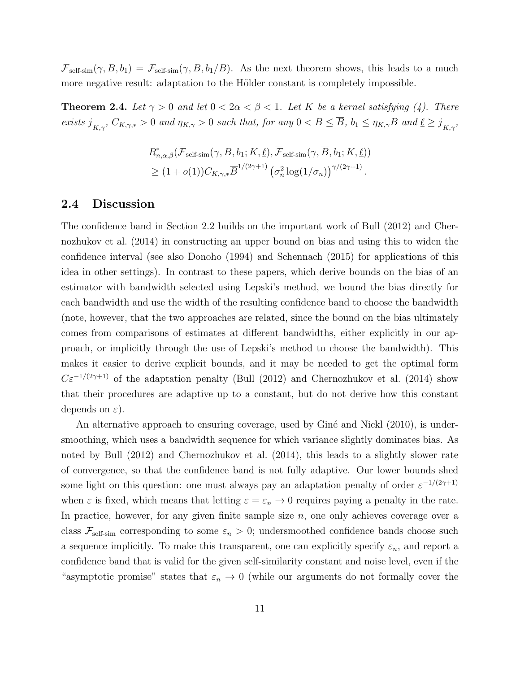$\overline{\mathcal{F}}_{\text{self-sim}}(\gamma, \overline{B}, b_1) = \mathcal{F}_{\text{self-sim}}(\gamma, \overline{B}, b_1/\overline{B}).$  As the next theorem shows, this leads to a much more negative result: adaptation to the Hölder constant is completely impossible.

**Theorem 2.4.** Let  $\gamma > 0$  and let  $0 < 2\alpha < \beta < 1$ . Let K be a kernel satisfying (4). There exists  $j_{K,\gamma}$ ,  $C_{K,\gamma,*} > 0$  and  $\eta_{K,\gamma} > 0$  such that, for any  $0 < B \le \overline{B}$ ,  $b_1 \le \eta_{K,\gamma}B$  and  $\underline{\ell} \ge \underline{j}_{K,\gamma}$ ,

$$
R_{n,\alpha,\beta}^*(\overline{\mathcal{F}}_{\text{self-sim}}(\gamma, B, b_1; K, \underline{\ell}), \overline{\mathcal{F}}_{\text{self-sim}}(\gamma, \overline{B}, b_1; K, \underline{\ell}))
$$
  
\n
$$
\geq (1 + o(1))C_{K,\gamma,*}\overline{B}^{1/(2\gamma+1)}\left(\sigma_n^2 \log(1/\sigma_n)\right)^{\gamma/(2\gamma+1)}.
$$

#### 2.4 Discussion

The confidence band in Section 2.2 builds on the important work of Bull (2012) and Chernozhukov et al. (2014) in constructing an upper bound on bias and using this to widen the confidence interval (see also Donoho (1994) and Schennach (2015) for applications of this idea in other settings). In contrast to these papers, which derive bounds on the bias of an estimator with bandwidth selected using Lepski's method, we bound the bias directly for each bandwidth and use the width of the resulting confidence band to choose the bandwidth (note, however, that the two approaches are related, since the bound on the bias ultimately comes from comparisons of estimates at different bandwidths, either explicitly in our approach, or implicitly through the use of Lepski's method to choose the bandwidth). This makes it easier to derive explicit bounds, and it may be needed to get the optimal form  $C\varepsilon^{-1/(2\gamma+1)}$  of the adaptation penalty (Bull (2012) and Chernozhukov et al. (2014) show that their procedures are adaptive up to a constant, but do not derive how this constant depends on  $\varepsilon$ ).

An alternative approach to ensuring coverage, used by Giné and Nickl (2010), is undersmoothing, which uses a bandwidth sequence for which variance slightly dominates bias. As noted by Bull (2012) and Chernozhukov et al. (2014), this leads to a slightly slower rate of convergence, so that the confidence band is not fully adaptive. Our lower bounds shed some light on this question: one must always pay an adaptation penalty of order  $\varepsilon^{-1/(2\gamma+1)}$ when  $\varepsilon$  is fixed, which means that letting  $\varepsilon = \varepsilon_n \to 0$  requires paying a penalty in the rate. In practice, however, for any given finite sample size  $n$ , one only achieves coverage over a class  $\mathcal{F}_{\text{self-sim}}$  corresponding to some  $\varepsilon_n > 0$ ; undersmoothed confidence bands choose such a sequence implicitly. To make this transparent, one can explicitly specify  $\varepsilon_n$ , and report a confidence band that is valid for the given self-similarity constant and noise level, even if the "asymptotic promise" states that  $\varepsilon_n \to 0$  (while our arguments do not formally cover the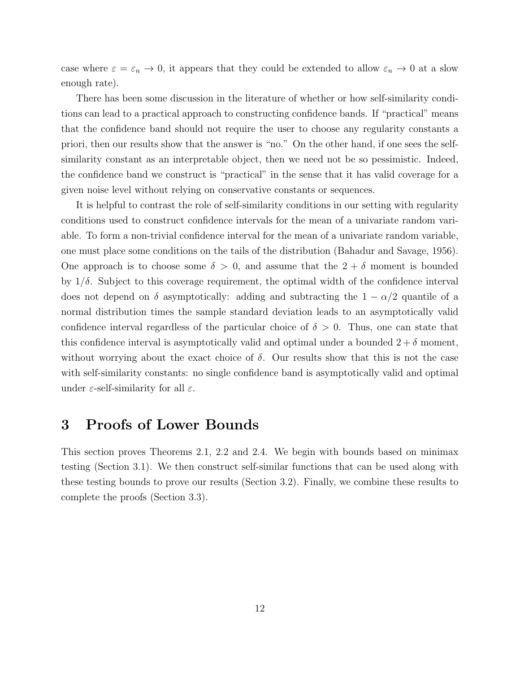case where  $\varepsilon = \varepsilon_n \to 0$ , it appears that they could be extended to allow  $\varepsilon_n \to 0$  at a slow enough rate).

There has been some discussion in the literature of whether or how self-similarity conditions can lead to a practical approach to constructing confidence bands. If "practical" means that the confidence band should not require the user to choose any regularity constants a priori, then our results show that the answer is "no." On the other hand, if one sees the selfsimilarity constant as an interpretable object, then we need not be so pessimistic. Indeed, the confidence band we construct is "practical" in the sense that it has valid coverage for a given noise level without relying on conservative constants or sequences.

It is helpful to contrast the role of self-similarity conditions in our setting with regularity conditions used to construct confidence intervals for the mean of a univariate random variable. To form a non-trivial confidence interval for the mean of a univariate random variable, one must place some conditions on the tails of the distribution (Bahadur and Savage, 1956). One approach is to choose some  $\delta > 0$ , and assume that the  $2 + \delta$  moment is bounded by  $1/\delta$ . Subject to this coverage requirement, the optimal width of the confidence interval does not depend on  $\delta$  asymptotically: adding and subtracting the  $1 - \alpha/2$  quantile of a normal distribution times the sample standard deviation leads to an asymptotically valid confidence interval regardless of the particular choice of  $\delta > 0$ . Thus, one can state that this confidence interval is asymptotically valid and optimal under a bounded  $2 + \delta$  moment, without worrying about the exact choice of  $\delta$ . Our results show that this is not the case with self-similarity constants: no single confidence band is asymptotically valid and optimal under  $\varepsilon$ -self-similarity for all  $\varepsilon$ .

### 3 Proofs of Lower Bounds

This section proves Theorems 2.1, 2.2 and 2.4. We begin with bounds based on minimax testing (Section 3.1). We then construct self-similar functions that can be used along with these testing bounds to prove our results (Section 3.2). Finally, we combine these results to complete the proofs (Section 3.3).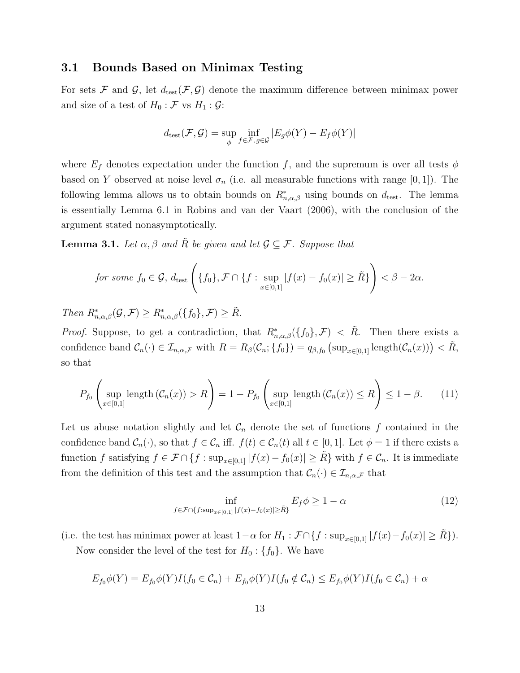#### 3.1 Bounds Based on Minimax Testing

For sets F and G, let  $d_{test}(\mathcal{F}, \mathcal{G})$  denote the maximum difference between minimax power and size of a test of  $H_0 : \mathcal{F}$  vs  $H_1 : \mathcal{G}$ :

$$
d_{\text{test}}(\mathcal{F}, \mathcal{G}) = \sup_{\phi} \inf_{f \in \mathcal{F}, g \in \mathcal{G}} |E_g \phi(Y) - E_f \phi(Y)|
$$

where  $E_f$  denotes expectation under the function f, and the supremum is over all tests  $\phi$ based on Y observed at noise level  $\sigma_n$  (i.e. all measurable functions with range [0, 1]). The following lemma allows us to obtain bounds on  $R^*_{n,\alpha,\beta}$  using bounds on  $d_{\text{test}}$ . The lemma is essentially Lemma 6.1 in Robins and van der Vaart (2006), with the conclusion of the argument stated nonasymptotically.

**Lemma 3.1.** Let  $\alpha, \beta$  and R be given and let  $\mathcal{G} \subseteq \mathcal{F}$ . Suppose that

for some 
$$
f_0 \in \mathcal{G}
$$
,  $d_{\text{test}}\left(\{f_0\}, \mathcal{F} \cap \{f : \sup_{x \in [0,1]} |f(x) - f_0(x)| \ge \tilde{R}\}\right) < \beta - 2\alpha$ .

Then  $R^*_{n,\alpha,\beta}(\mathcal{G},\mathcal{F}) \geq R^*_{n,\alpha,\beta}(\lbrace f_0 \rbrace,\mathcal{F}) \geq \tilde{R}.$ 

*Proof.* Suppose, to get a contradiction, that  $R^*_{n,\alpha,\beta}(\lbrace f_0 \rbrace,\mathcal{F}) < \tilde{R}$ . Then there exists a confidence band  $\mathcal{C}_n(\cdot) \in \mathcal{I}_{n,\alpha,\mathcal{F}}$  with  $R = R_\beta(\mathcal{C}_n; \{f_0\}) = q_{\beta,f_0}(\sup_{x \in [0,1]} \text{length}(\mathcal{C}_n(x))) < \tilde{R}$ , so that

$$
P_{f_0}\left(\sup_{x\in[0,1]}\text{length}\left(\mathcal{C}_n(x)\right) > R\right) = 1 - P_{f_0}\left(\sup_{x\in[0,1]}\text{length}\left(\mathcal{C}_n(x)\right) \le R\right) \le 1 - \beta. \tag{11}
$$

Let us abuse notation slightly and let  $\mathcal{C}_n$  denote the set of functions f contained in the confidence band  $\mathcal{C}_n(\cdot)$ , so that  $f \in \mathcal{C}_n$  iff.  $f(t) \in \mathcal{C}_n(t)$  all  $t \in [0,1]$ . Let  $\phi = 1$  if there exists a function f satisfying  $f \in \mathcal{F} \cap \{f : \sup_{x \in [0,1]} |f(x) - f_0(x)| \geq \tilde{R}\}\$  with  $f \in \mathcal{C}_n$ . It is immediate from the definition of this test and the assumption that  $\mathcal{C}_n(\cdot) \in \mathcal{I}_{n,\alpha,\mathcal{F}}$  that

$$
\inf_{f \in \mathcal{F} \cap \{f:\sup_{x \in [0,1]} |f(x) - f_0(x)| \ge \tilde{R}\}} E_f \phi \ge 1 - \alpha \tag{12}
$$

(i.e. the test has minimax power at least  $1-\alpha$  for  $H_1 : \mathcal{F} \cap \{f : \sup_{x \in [0,1]} |f(x)-f_0(x)| \geq \tilde{R}\}\)$ .

Now consider the level of the test for  $H_0: \{f_0\}$ . We have

$$
E_{f_0}\phi(Y) = E_{f_0}\phi(Y)I(f_0 \in C_n) + E_{f_0}\phi(Y)I(f_0 \notin C_n) \le E_{f_0}\phi(Y)I(f_0 \in C_n) + \alpha
$$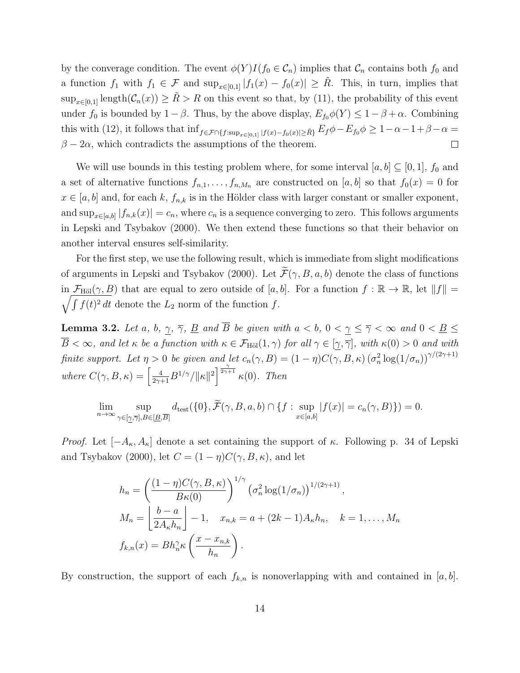by the converage condition. The event  $\phi(Y)I(f_0 \in \mathcal{C}_n)$  implies that  $\mathcal{C}_n$  contains both  $f_0$  and a function  $f_1$  with  $f_1 \in \mathcal{F}$  and  $\sup_{x \in [0,1]} |f_1(x) - f_0(x)| \geq \tilde{R}$ . This, in turn, implies that  $\sup_{x\in[0,1]} \text{length}(\mathcal{C}_n(x)) \geq \tilde{R} > R$  on this event so that, by (11), the probability of this event under  $f_0$  is bounded by  $1 - \beta$ . Thus, by the above display,  $E_{f_0} \phi(Y) \leq 1 - \beta + \alpha$ . Combining this with (12), it follows that  $\inf_{f \in \mathcal{F} \cap \{f:\sup_{x \in [0,1]} |f(x)-f_0(x)| \geq \tilde{R}\}} E_f \phi - E_{f_0} \phi \geq 1-\alpha-1+\beta-\alpha=$  $\beta - 2\alpha$ , which contradicts the assumptions of the theorem.  $\Box$ 

We will use bounds in this testing problem where, for some interval  $[a, b] \subseteq [0, 1]$ ,  $f_0$  and a set of alternative functions  $f_{n,1}, \ldots, f_{n,M_n}$  are constructed on [a, b] so that  $f_0(x) = 0$  for  $x \in [a, b]$  and, for each k,  $f_{n,k}$  is in the Hölder class with larger constant or smaller exponent, and  $\sup_{x \in [a,b]} |f_{n,k}(x)| = c_n$ , where  $c_n$  is a sequence converging to zero. This follows arguments in Lepski and Tsybakov (2000). We then extend these functions so that their behavior on another interval ensures self-similarity.

For the first step, we use the following result, which is immediate from slight modifications of arguments in Lepski and Tsybakov (2000). Let  $\widetilde{\mathcal{F}}(\gamma, B, a, b)$  denote the class of functions in  $\mathcal{F}_{\text{H\"ol}}(\gamma, B)$  that are equal to zero outside of [a, b]. For a function  $f : \mathbb{R} \to \mathbb{R}$ , let  $||f|| =$  $\sqrt{\int f(t)^2 dt}$  denote the  $L_2$  norm of the function f.

**Lemma 3.2.** Let a, b,  $\gamma$ ,  $\overline{\gamma}$ , <u>B</u> and  $\overline{B}$  be given with  $a < b$ ,  $0 < \gamma \leq \overline{\gamma} < \infty$  and  $0 < \underline{B} \leq \overline{\gamma}$  $\overline{B} < \infty$ , and let  $\kappa$  be a function with  $\kappa \in \mathcal{F}_{\text{H\"ol}}(1,\gamma)$  for all  $\gamma \in [\gamma,\overline{\gamma}]$ , with  $\kappa(0) > 0$  and with finite support. Let  $\eta > 0$  be given and let  $c_n(\gamma, B) = (1 - \eta)C(\gamma, B, \kappa) (\sigma_n^2 \log(1/\sigma_n))^{\gamma/(2\gamma+1)}$ where  $C(\gamma, B, \kappa) = \left[\frac{4}{2\gamma+1}B^{1/\gamma}/\|\kappa\|^2\right]^{\frac{\gamma}{2\gamma+1}}\kappa(0)$ . Then

$$
\lim_{n \to \infty} \sup_{\gamma \in [\underline{\gamma}, \overline{\gamma}], B \in [\underline{B}, \overline{B}]} d_{\text{test}}(\{0\}, \widetilde{\mathcal{F}}(\gamma, B, a, b) \cap \{f : \sup_{x \in [a, b]} |f(x)| = c_n(\gamma, B)\}) = 0.
$$

*Proof.* Let  $[-A_{\kappa}, A_{\kappa}]$  denote a set containing the support of  $\kappa$ . Following p. 34 of Lepski and Tsybakov (2000), let  $C = (1 - \eta)C(\gamma, B, \kappa)$ , and let

$$
h_n = \left(\frac{(1-\eta)C(\gamma, B, \kappa)}{B\kappa(0)}\right)^{1/\gamma} \left(\sigma_n^2 \log(1/\sigma_n)\right)^{1/(2\gamma+1)},
$$
  
\n
$$
M_n = \left[\frac{b-a}{2A_\kappa h_n}\right] - 1, \quad x_{n,k} = a + (2k-1)A_\kappa h_n, \quad k = 1, \dots, M_n
$$
  
\n
$$
f_{k,n}(x) = Bh_n^{\gamma} \kappa\left(\frac{x - x_{n,k}}{h_n}\right).
$$

By construction, the support of each  $f_{k,n}$  is nonoverlapping with and contained in [a, b].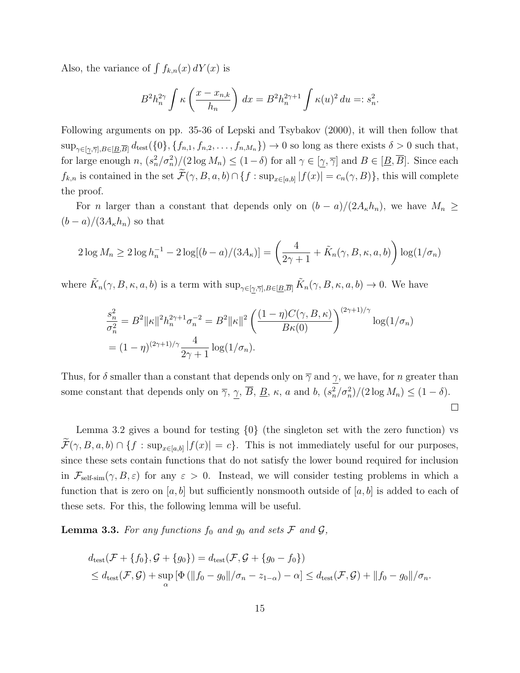Also, the variance of  $\int f_{k,n}(x) dY(x)$  is

$$
B^{2}h_{n}^{2\gamma} \int \kappa\left(\frac{x - x_{n,k}}{h_{n}}\right) dx = B^{2}h_{n}^{2\gamma + 1} \int \kappa(u)^{2} du =: s_{n}^{2}.
$$

Following arguments on pp. 35-36 of Lepski and Tsybakov (2000), it will then follow that  $\sup_{\gamma \in [\gamma,\overline{\gamma}],B\in[\underline{B},\overline{B}]} d_{\text{test}}(\{0\},\{f_{n,1},f_{n,2},\ldots,f_{n,M_n}\}) \to 0$  so long as there exists  $\delta > 0$  such that, for large enough  $n$ ,  $(s_n^2/\sigma_n^2)/(2 \log M_n) \leq (1-\delta)$  for all  $\gamma \in [\underline{\gamma}, \overline{\gamma}]$  and  $B \in [\underline{B}, \overline{B}]$ . Since each  $f_{k,n}$  is contained in the set  $\mathcal{F}(\gamma, B, a, b) \cap \{f : \sup_{x \in [a,b]} |f(x)| = c_n(\gamma, B)\}$ , this will complete the proof.

For n larger than a constant that depends only on  $(b - a)/(2A_{\kappa}h_n)$ , we have  $M_n \ge$  $(b-a)/(3A_\kappa h_n)$  so that

$$
2\log M_n \ge 2\log h_n^{-1} - 2\log[(b-a)/(3A_\kappa)] = \left(\frac{4}{2\gamma+1} + \tilde{K}_n(\gamma, B, \kappa, a, b)\right) \log(1/\sigma_n)
$$

where  $\tilde{K}_n(\gamma, B, \kappa, a, b)$  is a term with  $\sup_{\gamma \in [\gamma, \overline{\gamma}], B \in [\underline{B}, \overline{B}]} \tilde{K}_n(\gamma, B, \kappa, a, b) \to 0$ . We have

$$
\frac{s_n^2}{\sigma_n^2} = B^2 ||\kappa||^2 h_n^{2\gamma+1} \sigma_n^{-2} = B^2 ||\kappa||^2 \left( \frac{(1-\eta)C(\gamma, B, \kappa)}{B\kappa(0)} \right)^{(2\gamma+1)/\gamma} \log(1/\sigma_n)
$$
  
=  $(1-\eta)^{(2\gamma+1)/\gamma} \frac{4}{2\gamma+1} \log(1/\sigma_n).$ 

Thus, for  $\delta$  smaller than a constant that depends only on  $\overline{\gamma}$  and  $\gamma$ , we have, for n greater than some constant that depends only on  $\overline{\gamma}$ ,  $\gamma$ ,  $\overline{B}$ ,  $\underline{B}$ ,  $\kappa$ , a and b,  $(s_n^2/\sigma_n^2)/(2 \log M_n) \leq (1 - \delta)$ .  $\Box$ 

Lemma 3.2 gives a bound for testing  $\{0\}$  (the singleton set with the zero function) vs  $\mathcal{F}(\gamma, B, a, b) \cap \{f : \sup_{x \in [a,b]} |f(x)| = c\}.$  This is not immediately useful for our purposes, since these sets contain functions that do not satisfy the lower bound required for inclusion in  $\mathcal{F}_{\text{self-sim}}(\gamma, B, \varepsilon)$  for any  $\varepsilon > 0$ . Instead, we will consider testing problems in which a function that is zero on  $[a, b]$  but sufficiently nonsmooth outside of  $[a, b]$  is added to each of these sets. For this, the following lemma will be useful.

**Lemma 3.3.** For any functions  $f_0$  and  $g_0$  and sets  $\mathcal F$  and  $\mathcal G$ ,

$$
d_{\text{test}}(\mathcal{F} + \{f_0\}, \mathcal{G} + \{g_0\}) = d_{\text{test}}(\mathcal{F}, \mathcal{G} + \{g_0 - f_0\})
$$
  

$$
\leq d_{\text{test}}(\mathcal{F}, \mathcal{G}) + \sup_{\alpha} \left[ \Phi\left( ||f_0 - g_0|| / \sigma_n - z_{1-\alpha} \right) - \alpha \right] \leq d_{\text{test}}(\mathcal{F}, \mathcal{G}) + ||f_0 - g_0|| / \sigma_n.
$$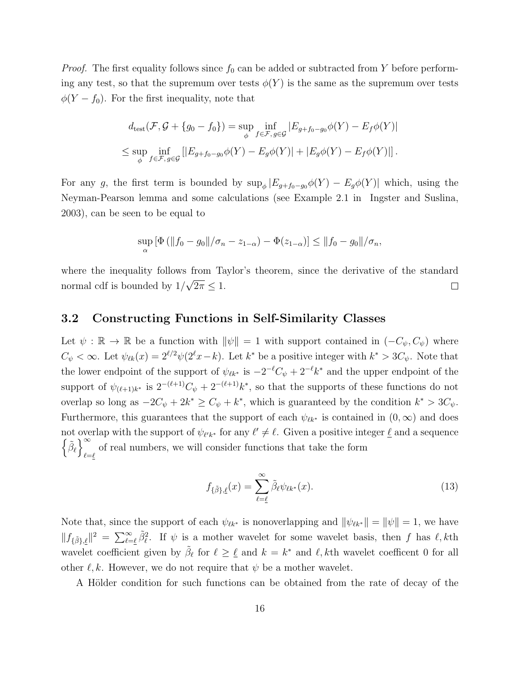*Proof.* The first equality follows since  $f_0$  can be added or subtracted from Y before performing any test, so that the supremum over tests  $\phi(Y)$  is the same as the supremum over tests  $\phi(Y - f_0)$ . For the first inequality, note that

$$
d_{\text{test}}(\mathcal{F}, \mathcal{G} + \{g_0 - f_0\}) = \sup_{\phi} \inf_{f \in \mathcal{F}, g \in \mathcal{G}} |E_{g + f_0 - g_0} \phi(Y) - E_f \phi(Y)|
$$
  

$$
\leq \sup_{\phi} \inf_{f \in \mathcal{F}, g \in \mathcal{G}} [|E_{g + f_0 - g_0} \phi(Y) - E_g \phi(Y)| + |E_g \phi(Y) - E_f \phi(Y)|].
$$

For any g, the first term is bounded by  $\sup_{\phi} |E_{g+f_0-g_0} \phi(Y) - E_g \phi(Y)|$  which, using the Neyman-Pearson lemma and some calculations (see Example 2.1 in Ingster and Suslina, 2003), can be seen to be equal to

$$
\sup_{\alpha} [\Phi (||f_0 - g_0||/\sigma_n - z_{1-\alpha}) - \Phi(z_{1-\alpha})] \le ||f_0 - g_0||/\sigma_n,
$$

where the inequality follows from Taylor's theorem, since the derivative of the standard √ normal cdf is bounded by 1/  $2\pi \leq 1$ .  $\Box$ 

#### 3.2 Constructing Functions in Self-Similarity Classes

Let  $\psi : \mathbb{R} \to \mathbb{R}$  be a function with  $\|\psi\| = 1$  with support contained in  $(-C_{\psi}, C_{\psi})$  where  $C_{\psi} < \infty$ . Let  $\psi_{\ell k}(x) = 2^{\ell/2} \psi(2^{\ell} x - k)$ . Let  $k^*$  be a positive integer with  $k^* > 3C_{\psi}$ . Note that the lower endpoint of the support of  $\psi_{\ell k^*}$  is  $-2^{-\ell}C_{\psi} + 2^{-\ell}k^*$  and the upper endpoint of the support of  $\psi_{(\ell+1)k^*}$  is  $2^{-(\ell+1)}\mathcal{C}_{\psi} + 2^{-(\ell+1)}k^*$ , so that the supports of these functions do not overlap so long as  $-2C_{\psi} + 2k^* \ge C_{\psi} + k^*$ , which is guaranteed by the condition  $k^* > 3C_{\psi}$ . Furthermore, this guarantees that the support of each  $\psi_{\ell k^*}$  is contained in  $(0, \infty)$  and does not overlap with the support of  $\psi_{\ell' k^*}$  for any  $\ell' \neq \ell$ . Given a positive integer  $\underline{\ell}$  and a sequence  $\left\{ \tilde{\beta}_{\ell}\right\} ^{\infty}$ % of real numbers, we will consider functions that take the form

$$
f_{\{\tilde{\beta}\},\underline{\ell}}(x) = \sum_{\ell=\underline{\ell}}^{\infty} \tilde{\beta}_{\ell} \psi_{\ell k^*}(x). \tag{13}
$$

Note that, since the support of each  $\psi_{\ell k*}$  is nonoverlapping and  $\|\psi_{\ell k*}\| = \|\psi\| = 1$ , we have  $|| f_{\{\tilde{\beta}\},\ell} ||^2 = \sum_{\ell=\ell}^{\infty} \tilde{\beta}_{\ell}^2$ . If  $\psi$  is a mother wavelet for some wavelet basis, then f has  $\ell, k$ th wavelet coefficient given by  $\tilde{\beta}_{\ell}$  for  $\ell \geq \ell$  and  $k = k^*$  and  $\ell, k$ th wavelet coefficent 0 for all other  $\ell, k$ . However, we do not require that  $\psi$  be a mother wavelet.

A Hölder condition for such functions can be obtained from the rate of decay of the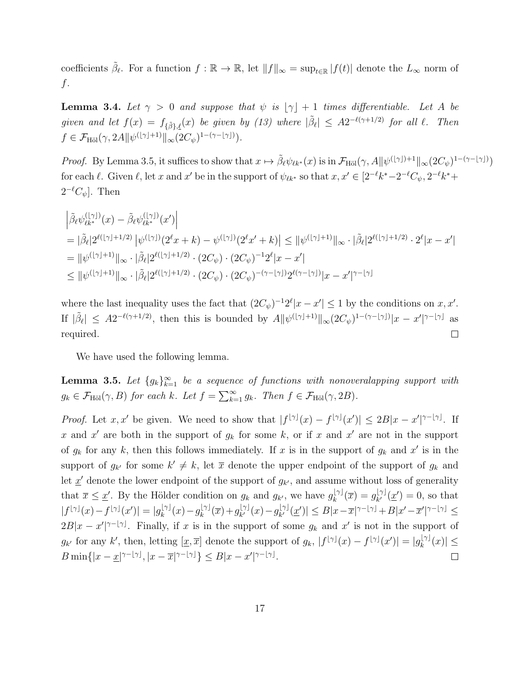coefficients  $\tilde{\beta}_{\ell}$ . For a function  $f : \mathbb{R} \to \mathbb{R}$ , let  $||f||_{\infty} = \sup_{t \in \mathbb{R}} |f(t)|$  denote the  $L_{\infty}$  norm of  $f$ .

**Lemma 3.4.** Let  $\gamma > 0$  and suppose that  $\psi$  is  $[\gamma] + 1$  times differentiable. Let A be given and let  $f(x) = f_{\{\tilde{\beta}\},\ell}(x)$  be given by (13) where  $|\tilde{\beta}_{\ell}| \leq A2^{-\ell(\gamma+1/2)}$  for all  $\ell$ . Then  $f \in \mathcal{F}_{\text{H\"ol}}(\gamma, 2A || \psi^{(\lfloor \gamma \rfloor + 1)} ||_{\infty} (2C_{\psi})^{1-(\gamma - \lfloor \gamma \rfloor)}.$ 

*Proof.* By Lemma 3.5, it suffices to show that  $x \mapsto \tilde{\beta}_{\ell} \psi_{\ell k^*}(x)$  is in  $\mathcal{F}_{\text{H\"ol}}(\gamma, A || \psi^{(\lfloor \gamma \rfloor) + 1} ||_{\infty} (2C_{\psi})^{1-(\gamma - \lfloor \gamma \rfloor)})$ for each  $\ell$ . Given  $\ell$ , let x and x' be in the support of  $\psi_{\ell k^*}$  so that  $x, x' \in [2^{-\ell}k^*-2^{-\ell}C_{\psi}, 2^{-\ell}k^*+$  $2^{-\ell}C_{\psi}$ . Then

$$
\begin{aligned}\n&\left|\tilde{\beta}_{\ell}\psi_{\ell k^*}^{(\lfloor\gamma\rfloor)}(x) - \tilde{\beta}_{\ell}\psi_{\ell k^*}^{(\lfloor\gamma\rfloor)}(x')\right| \\
&= |\tilde{\beta}_{\ell}| 2^{\ell(\lfloor\gamma\rfloor+1/2)} |\psi^{(\lfloor\gamma\rfloor)}(2^{\ell}x+k) - \psi^{(\lfloor\gamma\rfloor)}(2^{\ell}x'+k)| \leq ||\psi^{(\lfloor\gamma\rfloor+1)}||_{\infty} \cdot |\tilde{\beta}_{\ell}| 2^{\ell(\lfloor\gamma\rfloor+1/2)} \cdot 2^{\ell}|x-x'| \\
&= ||\psi^{(\lfloor\gamma\rfloor+1)}||_{\infty} \cdot |\tilde{\beta}_{\ell}| 2^{\ell(\lfloor\gamma\rfloor+1/2)} \cdot (2C_{\psi}) \cdot (2C_{\psi})^{-1} 2^{\ell}|x-x'| \\
&\leq ||\psi^{(\lfloor\gamma\rfloor+1)}||_{\infty} \cdot |\tilde{\beta}_{\ell}| 2^{\ell(\lfloor\gamma\rfloor+1/2)} \cdot (2C_{\psi}) \cdot (2C_{\psi})^{-(\gamma-\lfloor\gamma\rfloor)} 2^{\ell(\gamma-\lfloor\gamma\rfloor)}|x-x'|^{\gamma-\lfloor\gamma\rfloor}\n\end{aligned}
$$

where the last inequality uses the fact that  $(2C_{\psi})^{-1}2^{\ell}|x-x'| \leq 1$  by the conditions on  $x, x'$ . If  $|\tilde{\beta}_{\ell}| \leq A2^{-\ell(\gamma+1/2)}$ , then this is bounded by  $A||\psi^{(\lfloor\gamma\rfloor+1)}||_{\infty}(2C_{\psi})^{1-(\gamma-\lfloor\gamma\rfloor)}|x-x'|^{\gamma-\lfloor\gamma\rfloor}$  as required.  $\Box$ 

We have used the following lemma.

**Lemma 3.5.** Let  ${g_k}_{k=1}^{\infty}$  be a sequence of functions with nonoveralapping support with  $g_k \in \mathcal{F}_{\text{H\"ol}}(\gamma, B)$  for each k. Let  $f = \sum_{k=1}^{\infty} g_k$ . Then  $f \in \mathcal{F}_{\text{H\"ol}}(\gamma, 2B)$ .

*Proof.* Let  $x, x'$  be given. We need to show that  $|f^{[\gamma]}(x) - f^{[\gamma]}(x')| \leq 2B|x - x'|^{\gamma - [\gamma]}$ . If x and x' are both in the support of  $g_k$  for some k, or if x and x' are not in the support of  $g_k$  for any k, then this follows immediately. If x is in the support of  $g_k$  and x' is in the support of  $g_{k'}$  for some  $k' \neq k$ , let  $\bar{x}$  denote the upper endpoint of the support of  $g_k$  and let  $\underline{x}'$  denote the lower endpoint of the support of  $g_{k'}$ , and assume without loss of generality that  $\bar{x} \leq \underline{x}'$ . By the Hölder condition on  $g_k$  and  $g_{k'}$ , we have  $g_k^{[\gamma]}$  $g_k^{\lfloor \gamma \rfloor}(\overline{x}) = g_{k'}^{\lfloor \gamma \rfloor}$  $\chi_k^{[\gamma]}(\underline{x}')=0$ , so that  $|f^{[\gamma]}(x)-f^{[\gamma]}(x')|=|g_k^{[\gamma]}$  $g_k^{\lfloor \gamma \rfloor}(x) - g_k^{\lfloor \gamma \rfloor}$  $\int_k^{\lfloor \gamma \rfloor} (\overline{x}) + g_{k'}^{\lfloor \gamma \rfloor}$  $\int_{k'}^{\lfloor \gamma \rfloor} (x) - g_{k'}^{\lfloor \gamma \rfloor}$  $\vert_{k'}^{[\gamma]}(\underline{x}')\vert \leq B \vert x-\overline{x}\vert^{\gamma-\lfloor \gamma \rfloor} + B \vert x'-\overline{x}'\vert^{\gamma-\lfloor \gamma \rfloor} \leq$  $2B|x-x'|^{\gamma-|\gamma|}$ . Finally, if x is in the support of some  $g_k$  and x' is not in the support of  $g_{k'}$  for any k', then, letting  $[\underline{x}, \overline{x}]$  denote the support of  $g_k$ ,  $|f^{[\gamma]}(x) - f^{[\gamma]}(x')| = |g_k^{[\gamma]}$  $\vert_k^{\lfloor \gamma \rfloor}(x) \vert \leq$  $B \min\{|x-\underline{x}|^{\gamma-|\gamma|}, |x-\overline{x}|^{\gamma-|\gamma|}\}\leq B|x-x'|^{\gamma-|\gamma|}.$  $\Box$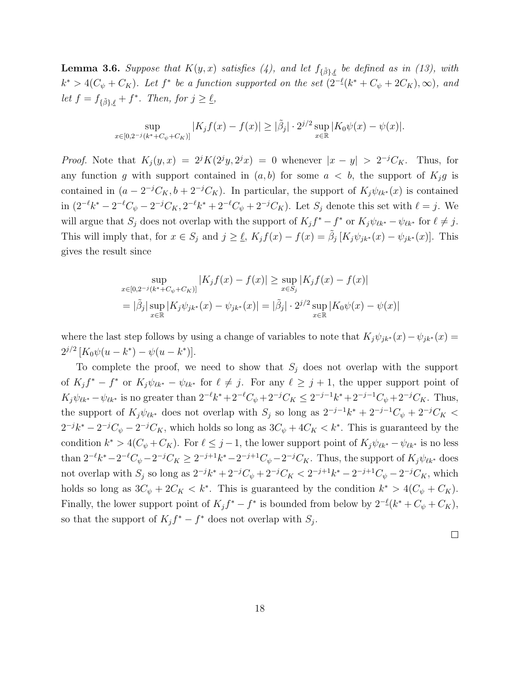**Lemma 3.6.** Suppose that  $K(y, x)$  satisfies (4), and let  $f_{\{\tilde{\beta}\}, \ell}$  be defined as in (13), with  $k^* > 4(C_\psi + C_K)$ . Let  $f^*$  be a function supported on the set  $(2^{-\ell}(k^* + C_\psi + 2C_K), \infty)$ , and let  $f = f_{\{\tilde{\beta}\},\underline{\ell}} + f^*$ . Then, for  $j \ge \underline{\ell}$ ,

$$
\sup_{x\in [0,2^{-j}(k^*+C_{\psi}+C_K)]} |K_j f(x)-f(x)| \geq |\tilde{\beta}_j|\cdot 2^{j/2}\sup_{x\in \mathbb{R}} |K_0 \psi(x)-\psi(x)|.
$$

*Proof.* Note that  $K_j(y, x) = 2^j K(2^j y, 2^j x) = 0$  whenever  $|x - y| > 2^{-j} C_K$ . Thus, for any function g with support contained in  $(a, b)$  for some  $a < b$ , the support of  $K_j g$  is contained in  $(a - 2^{-j}C_K, b + 2^{-j}C_K)$ . In particular, the support of  $K_j \psi_{\ell k^*}(x)$  is contained in  $(2^{-\ell}k^* - 2^{-\ell}C_{\psi} - 2^{-j}C_K, 2^{-\ell}k^* + 2^{-\ell}C_{\psi} + 2^{-j}C_K)$ . Let  $S_j$  denote this set with  $\ell = j$ . We will argue that  $S_j$  does not overlap with the support of  $K_j f^* - f^*$  or  $K_j \psi_{\ell k^*} - \psi_{\ell k^*}$  for  $\ell \neq j$ . This will imply that, for  $x \in S_j$  and  $j \geq \underline{\ell}$ ,  $K_j f(x) - f(x) = \tilde{\beta}_j [K_j \psi_{jk^*}(x) - \psi_{jk^*}(x)]$ . This gives the result since

$$
\sup_{x \in [0,2^{-j}(k^* + C_{\psi} + C_K)]} |K_j f(x) - f(x)| \ge \sup_{x \in S_j} |K_j f(x) - f(x)|
$$
  
=  $|\tilde{\beta}_j| \sup_{x \in \mathbb{R}} |K_j \psi_{jk^*}(x) - \psi_{jk^*}(x)| = |\tilde{\beta}_j| \cdot 2^{j/2} \sup_{x \in \mathbb{R}} |K_0 \psi(x) - \psi(x)|$ 

where the last step follows by using a change of variables to note that  $K_j\psi_{jk}(x)-\psi_{jk}(x)=$  $2^{j/2} [K_0 \psi(u - k^*) - \psi(u - k^*)].$ 

To complete the proof, we need to show that  $S_j$  does not overlap with the support of  $K_j f^* - f^*$  or  $K_j \psi_{\ell k^*} - \psi_{\ell k^*}$  for  $\ell \neq j$ . For any  $\ell \geq j+1$ , the upper support point of  $K_j \psi_{\ell k^*} - \psi_{\ell k^*}$  is no greater than  $2^{-\ell} k^* + 2^{-\ell}C_{\psi} + 2^{-j}C_K \leq 2^{-j-1}k^* + 2^{-j-1}C_{\psi} + 2^{-j}C_K$ . Thus, the support of  $K_j \psi_{\ell k^*}$  does not overlap with  $S_j$  so long as  $2^{-j-1}k^* + 2^{-j-1}C_{\psi} + 2^{-j}C_K$  $2^{-j}k^* - 2^{-j}C_{\psi} - 2^{-j}C_K$ , which holds so long as  $3C_{\psi} + 4C_K < k^*$ . This is guaranteed by the condition  $k^* > 4(C_{\psi} + C_K)$ . For  $\ell \leq j - 1$ , the lower support point of  $K_j \psi_{\ell k^*} - \psi_{\ell k^*}$  is no less than  $2^{-\ell}k^* - 2^{-\ell}C_{\psi} - 2^{-j}C_K \geq 2^{-j+1}k^* - 2^{-j+1}C_{\psi} - 2^{-j}C_K$ . Thus, the support of  $K_j\psi_{\ell k^*}$  does not overlap with  $S_j$  so long as  $2^{-j}k^* + 2^{-j}C_{\psi} + 2^{-j}C_K < 2^{-j+1}k^* - 2^{-j+1}C_{\psi} - 2^{-j}C_K$ , which holds so long as  $3C_{\psi} + 2C_{K} < k^*$ . This is guaranteed by the condition  $k^* > 4(C_{\psi} + C_{K})$ . Finally, the lower support point of  $K_j f^* - f^*$  is bounded from below by  $2^{-\ell}(k^* + C_{\psi} + C_K)$ , so that the support of  $K_j f^* - f^*$  does not overlap with  $S_j$ .

 $\Box$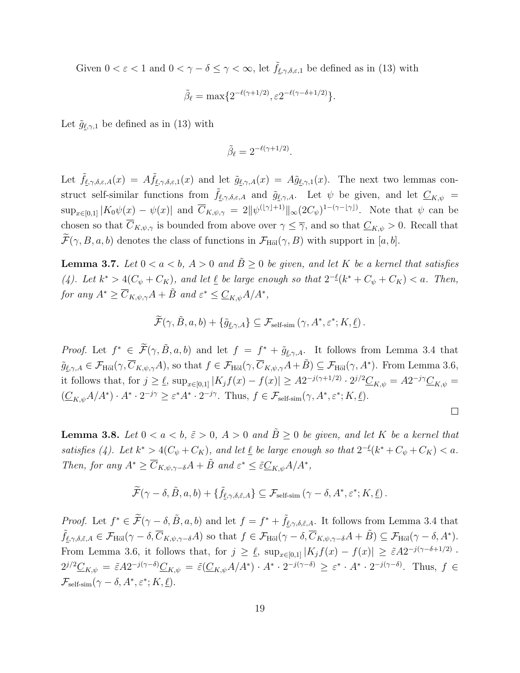Given  $0 < \varepsilon < 1$  and  $0 < \gamma - \delta \leq \gamma < \infty$ , let  $f_{\ell,\gamma,\delta,\varepsilon,1}$  be defined as in (13) with

$$
\tilde{\beta}_{\ell} = \max\{2^{-\ell(\gamma + 1/2)}, \varepsilon 2^{-\ell(\gamma - \delta + 1/2)}\}.
$$

Let  $\tilde{g}_{\ell,\gamma,1}$  be defined as in (13) with

$$
\tilde{\beta}_{\ell}=2^{-\ell(\gamma+1/2)}.
$$

Let  $\tilde{f}_{\ell,\gamma,\delta,\varepsilon,A}(x) = A \tilde{f}_{\ell,\gamma,\delta,\varepsilon,1}(x)$  and let  $\tilde{g}_{\ell,\gamma,A}(x) = A \tilde{g}_{\ell,\gamma,1}(x)$ . The next two lemmas construct self-similar functions from  $\tilde{f}_{\ell,\gamma,\delta,\varepsilon,A}$  and  $\tilde{g}_{\ell,\gamma,A}$ . Let  $\psi$  be given, and let  $C_{K,\psi}$  =  $\sup_{x\in[0,1]}|K_0\psi(x)-\psi(x)|$  and  $\overline{C}_{K,\psi,\gamma}=2\|\psi^{(\lfloor\gamma\rfloor+1)}\|_{\infty}(2C_{\psi})^{1-(\gamma-\lfloor\gamma\rfloor)}$ . Note that  $\psi$  can be chosen so that  $\overline{C}_{K,\psi,\gamma}$  is bounded from above over  $\gamma \leq \overline{\gamma}$ , and so that  $\underline{C}_{K,\psi} > 0$ . Recall that  $\mathcal{F}(\gamma, B, a, b)$  denotes the class of functions in  $\mathcal{F}_{\text{H\"ol}}(\gamma, B)$  with support in [a, b].

**Lemma 3.7.** Let  $0 < a < b$ ,  $A > 0$  and  $\tilde{B} \ge 0$  be given, and let K be a kernel that satisfies (4). Let  $k^* > 4(C_\psi + C_K)$ , and let  $\underline{\ell}$  be large enough so that  $2^{-\underline{\ell}}(k^* + C_\psi + C_K) < a$ . Then, for any  $A^* \geq \overline{C}_{K,\psi,\gamma}A + \tilde{B}$  and  $\varepsilon^* \leq \underline{C}_{K,\psi}A/A^*$ ,

$$
\widetilde{\mathcal{F}}(\gamma, \tilde{B}, a, b) + \{\tilde{g}_{\ell, \gamma, A}\} \subseteq \mathcal{F}_{\text{self-sim}}(\gamma, A^*, \varepsilon^*; K, \underline{\ell}).
$$

*Proof.* Let  $f^* \in \widetilde{\mathcal{F}}(\gamma, \widetilde{B}, a, b)$  and let  $f = f^* + \widetilde{g}_{\ell, \gamma, A}$ . It follows from Lemma 3.4 that  $\tilde{g}_{\ell,\gamma,A}\in\mathcal{F}_{\text{H\"ol}}(\gamma,\overline{C}_{K,\psi,\gamma}A)$ , so that  $f\in\mathcal{F}_{\text{H\"ol}}(\gamma,\overline{C}_{K,\psi,\gamma}A+\tilde{B})\subseteq\mathcal{F}_{\text{H\"ol}}(\gamma,A^*)$ . From Lemma 3.6, it follows that, for  $j \geq \ell$ ,  $\sup_{x \in [0,1]} |K_j f(x) - f(x)| \geq A2^{-j(\gamma+1/2)} \cdot 2^{j/2} \underline{C}_{K,\psi} = A2^{-j\gamma} \underline{C}_{K,\psi} =$  $(\underline{C}_{K,\psi}A/A^*)\cdot A^*\cdot 2^{-j\gamma} \geq \varepsilon^*A^*\cdot 2^{-j\gamma}$ . Thus,  $f\in \mathcal{F}_{\text{self-sim}}(\gamma,A^*,\varepsilon^*;K,\underline{\ell})$ .

 $\Box$ 

**Lemma 3.8.** Let  $0 < a < b$ ,  $\tilde{\varepsilon} > 0$ ,  $A > 0$  and  $\tilde{B} \ge 0$  be given, and let K be a kernel that satisfies (4). Let  $k^* > 4(C_{\psi} + C_K)$ , and let  $\underline{\ell}$  be large enough so that  $2^{-\underline{\ell}}(k^* + C_{\psi} + C_K) < a$ . Then, for any  $A^* \geq \overline{C}_{K,\psi,\gamma-\delta}A + \tilde{B}$  and  $\varepsilon^* \leq \tilde{\varepsilon}C_{K,\psi}A/A^*$ ,

$$
\widetilde{\mathcal{F}}(\gamma-\delta,\tilde{B},a,b)+\{\tilde{f}_{\underline{\ell},\gamma,\delta,\tilde{\varepsilon},A}\}\subseteq\mathcal{F}_{\text{self-sim}}(\gamma-\delta,A^*,\varepsilon^*;K,\underline{\ell}).
$$

Proof. Let  $f^* \in \tilde{\mathcal{F}}(\gamma - \delta, \tilde{B}, a, b)$  and let  $f = f^* + \tilde{f}_{\ell,\gamma,\delta,\tilde{\varepsilon},A}$ . It follows from Lemma 3.4 that  $\tilde{f}_{\ell,\gamma,\delta,\tilde{\varepsilon},A} \in \mathcal{F}_{\text{H\"ol}}(\gamma - \delta, \overline{C}_{K,\psi,\gamma-\delta}A)$  so that  $f \in \mathcal{F}_{\text{H\"ol}}(\gamma - \delta, \overline{C}_{K,\psi,\gamma-\delta}A + \tilde{B}) \subseteq \mathcal{F}_{\text{H\"ol}}(\gamma - \delta, A^*)$ . From Lemma 3.6, it follows that, for  $j \geq \ell$ ,  $\sup_{x \in [0,1]} |K_j f(x) - f(x)| \geq \tilde{\epsilon} A 2^{-j(\gamma - \delta + 1/2)}$ .  $2^{j/2}C_{K,\psi} = \tilde{\varepsilon}A2^{-j(\gamma-\delta)}C_{K,\psi} = \tilde{\varepsilon}(C_{K,\psi}A/A^*) \cdot A^* \cdot 2^{-j(\gamma-\delta)} \geq \varepsilon^* \cdot A^* \cdot 2^{-j(\gamma-\delta)}$ . Thus,  $f \in$  $\mathcal{F}_{\text{self-sim}}(\gamma-\delta,A^*,\varepsilon^*;K,\underline{\ell}).$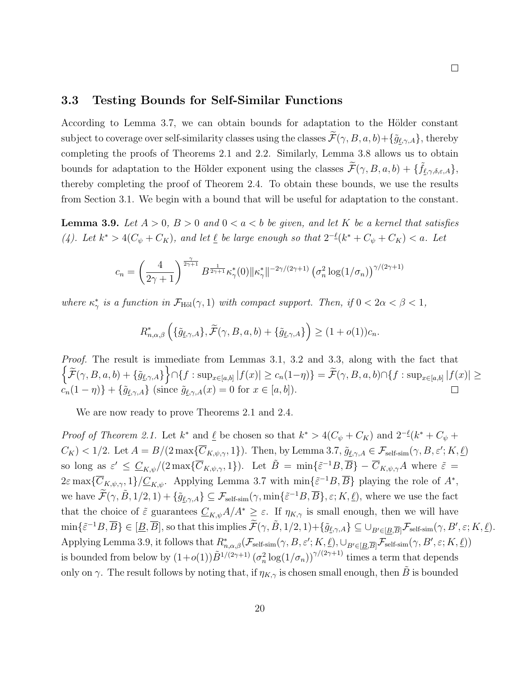#### 3.3 Testing Bounds for Self-Similar Functions

According to Lemma 3.7, we can obtain bounds for adaptation to the Hölder constant subject to coverage over self-similarity classes using the classes  $\widetilde{\mathcal{F}}(\gamma, B, a, b) + {\{\widetilde{g}_{\ell, \gamma, A}\}}$ , thereby completing the proofs of Theorems 2.1 and 2.2. Similarly, Lemma 3.8 allows us to obtain bounds for adaptation to the Hölder exponent using the classes  $\widetilde{\mathcal{F}}(\gamma, B, a, b) + {\{\widetilde{f}_{\ell,\gamma,\delta,\varepsilon,A}\}},$ thereby completing the proof of Theorem 2.4. To obtain these bounds, we use the results from Section 3.1. We begin with a bound that will be useful for adaptation to the constant.

**Lemma 3.9.** Let  $A > 0$ ,  $B > 0$  and  $0 < a < b$  be given, and let K be a kernel that satisfies (4). Let  $k^* > 4(C_\psi + C_K)$ , and let  $\underline{\ell}$  be large enough so that  $2^{-\underline{\ell}}(k^* + C_\psi + C_K) < a$ . Let

$$
c_n = \left(\frac{4}{2\gamma+1}\right)^{\frac{\gamma}{2\gamma+1}} B^{\frac{1}{2\gamma+1}} \kappa_{\gamma}^*(0) \|\kappa_{\gamma}^*\|^{-2\gamma/(2\gamma+1)} \left(\sigma_n^2 \log(1/\sigma_n)\right)^{\gamma/(2\gamma+1)}
$$

where  $\kappa^*_{\gamma}$  is a function in  $\mathcal{F}_{\text{H\"ol}}(\gamma, 1)$  with compact support. Then, if  $0 < 2\alpha < \beta < 1$ ,

$$
R_{n,\alpha,\beta}^{*}\left(\{\tilde{g}_{\underline{\ell},\gamma,A}\},\widetilde{\mathcal{F}}(\gamma,B,a,b)+\{\tilde{g}_{\underline{\ell},\gamma,A}\}\right) \geq (1+o(1))c_n.
$$

Proof. The result is immediate from Lemmas 3.1, 3.2 and 3.3, along with the fact that  $\Bigl\{ \widetilde{\mathcal{F}}(\gamma,B,a,b) + \{\widetilde{g}_{\underline{\ell},\gamma,A}\} \Bigr\} \cap \{ f: \sup_{x \in [a,b]} |f(x)| \geq c_n(1-\eta) \} = \widetilde{\mathcal{F}}(\gamma,B,a,b) \cap \{ f: \sup_{x \in [a,b]} |f(x)| \geq c_n(1-\eta) \}$  $c_n(1 - \eta) + {\tilde{g}}_{\ell,\gamma,A}$  (since  $\tilde{g}_{\ell,\gamma,A}(x) = 0$  for  $x \in [a, b]$ ).  $\Box$ 

We are now ready to prove Theorems 2.1 and 2.4.

*Proof of Theorem 2.1.* Let  $k^*$  and  $\underline{\ell}$  be chosen so that  $k^* > 4(C_{\psi} + C_K)$  and  $2^{-\underline{\ell}}(k^* + C_{\psi} + C_K)$  $C_K$ ) < 1/2. Let  $A = B/(2 \max\{\overline{C}_{K,\psi,\gamma},1\})$ . Then, by Lemma 3.7,  $\tilde{g}_{\ell,\gamma,A} \in \mathcal{F}_{\text{self-sim}}(\gamma, B, \varepsilon'; K, \underline{\ell})$ so long as  $\varepsilon' \leq \underline{C}_{K,\psi}/(2 \max\{\overline{C}_{K,\psi,\gamma},1\})$ . Let  $\tilde{B} = \min\{\tilde{\varepsilon}^{-1}B,\overline{B}\}-\overline{C}_{K,\psi,\gamma}A$  where  $\tilde{\varepsilon} =$  $2\varepsilon \max\{\overline{C}_{K,\psi,\gamma},1\}/\underline{C}_{K,\psi}$ . Applying Lemma 3.7 with  $\min\{\tilde{\varepsilon}^{-1}B,\overline{B}\}\)$  playing the role of  $A^*$ , we have  $\widetilde{\mathcal{F}}(\gamma, \widetilde{B}, 1/2, 1) + \{\widetilde{g}_{\underline{\ell}, \gamma, A}\} \subseteq \mathcal{F}_{\text{self-sim}}(\gamma, \min{\{\tilde{\varepsilon}^{-1}B, \overline{B}\}, \varepsilon; K, \underline{\ell})}$ , where we use the fact that the choice of  $\tilde{\varepsilon}$  guarantees  $\underline{C}_{K,\psi}A/A^* \geq \varepsilon$ . If  $\eta_{K,\gamma}$  is small enough, then we will have  $\min\{\tilde{\varepsilon}^{-1}B,\overline{B}\}\in[\underline{B},\overline{B}],$  so that this implies  $\widetilde{\mathcal{F}}(\gamma,\tilde{B},1/2,1)+\{\tilde{g}_{\underline{\ell},\gamma,A}\}\subseteq\cup_{B'\in[\underline{B},\overline{B}]} \mathcal{F}_{\mathrm{self-sim}}(\gamma,B',\varepsilon;K,\underline{\ell}).$ Applying Lemma 3.9, it follows that  $R^*_{n,\alpha,\beta}(\mathcal{F}_{\text{self-sim}}(\gamma, B, \varepsilon'; K, \underline{\ell}), \cup_{B' \in [\underline{B}, \overline{B}]} \mathcal{F}_{\text{self-sim}}(\gamma, B', \varepsilon; K, \underline{\ell}))$ is bounded from below by  $(1+o(1))\tilde{B}^{1/(2\gamma+1)}(\sigma_n^2\log(1/\sigma_n))^{\gamma/(2\gamma+1)}$  times a term that depends only on  $\gamma$ . The result follows by noting that, if  $\eta_{K,\gamma}$  is chosen small enough, then  $\ddot{B}$  is bounded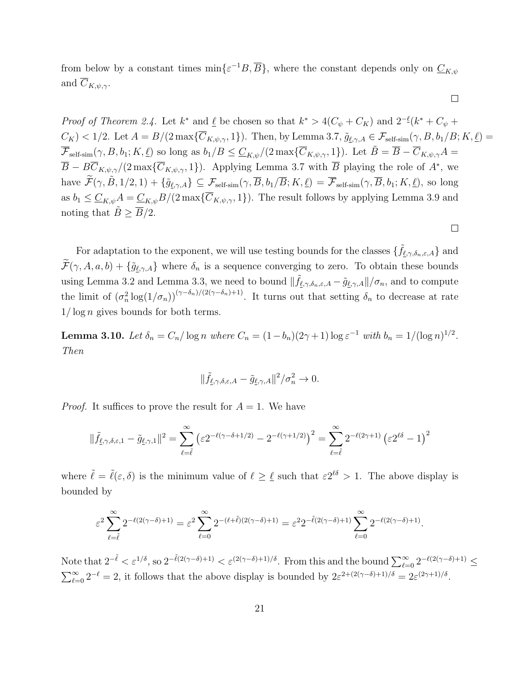from below by a constant times  $\min\{\varepsilon^{-1}B, \overline{B}\}\,$ , where the constant depends only on  $\underline{C}_{K,\psi}$ and  $C_{K,\psi,\gamma}$ .

*Proof of Theorem 2.4.* Let  $k^*$  and  $\underline{\ell}$  be chosen so that  $k^* > 4(C_{\psi} + C_K)$  and  $2^{-\underline{\ell}}(k^* + C_{\psi} + C_K)$  $C_K$ ) < 1/2. Let  $A = B/(2 \max{\{\overline{C}_{K,\psi,\gamma},1\}})$ . Then, by Lemma 3.7,  $\tilde{g}_{\ell,\gamma,A} \in \mathcal{F}_{\text{self-sim}}(\gamma, B, b_1/B; K, \underline{\ell})$  $\overline{\mathcal{F}}_{\text{self-sim}}(\gamma, B, b_1; K, \underline{\ell})$  so long as  $b_1/B \leq \underline{C}_{K,\psi}/(2 \max\{\overline{C}_{K,\psi,\gamma}, 1\})$ . Let  $\tilde{B} = \overline{B} - \overline{C}_{K,\psi,\gamma}A =$  $\overline{B} - B\overline{C}_{K,\psi,\gamma}/(2 \max\{\overline{C}_{K,\psi,\gamma},1\})$ . Applying Lemma 3.7 with  $\overline{B}$  playing the role of  $A^*$ , we have  $\widetilde{\mathcal{F}}(\gamma, \widetilde{B}, 1/2, 1) + \{\widetilde{g}_{\ell, \gamma, A}\} \subseteq \mathcal{F}_{\text{self-sim}}(\gamma, \overline{B}, b_1/\overline{B}; K, \underline{\ell}) = \overline{\mathcal{F}}_{\text{self-sim}}(\gamma, \overline{B}, b_1; K, \underline{\ell})$ , so long as  $b_1 \leq \underline{C}_{K,\psi}A = \underline{C}_{K,\psi}B/(2 \max{\{\overline{C}_{K,\psi,\gamma},1\}}).$  The result follows by applying Lemma 3.9 and noting that  $\tilde{B} \ge \overline{B}/2$ .

 $\Box$ 

 $\Box$ 

For adaptation to the exponent, we will use testing bounds for the classes  $\{\tilde{f}_{\ell,\gamma,\delta_n,\varepsilon,A}\}$  and  $\widetilde{\mathcal{F}}(\gamma, A, a, b) + \{\widetilde{g}_{\underline{\ell}, \gamma, A}\}\$  where  $\delta_n$  is a sequence converging to zero. To obtain these bounds using Lemma 3.2 and Lemma 3.3, we need to bound  $\|\tilde{f}_{\ell,\gamma,\delta_n,\varepsilon,A} - \tilde{g}_{\ell,\gamma,A}\|/\sigma_n$ , and to compute the limit of  $(\sigma_n^2 \log(1/\sigma_n))^{(\gamma-\delta_n)/(2(\gamma-\delta_n)+1)}$ . It turns out that setting  $\delta_n$  to decrease at rate  $1/\log n$  gives bounds for both terms.

**Lemma 3.10.** Let  $\delta_n = C_n / \log n$  where  $C_n = (1 - b_n)(2\gamma + 1) \log \varepsilon^{-1}$  with  $b_n = 1/(\log n)^{1/2}$ . Then

$$
\|\tilde{f}_{\underline{\ell},\gamma,\delta,\varepsilon,A}-\tilde{g}_{\underline{\ell},\gamma,A}\|^2/\sigma_n^2\to 0.
$$

*Proof.* It suffices to prove the result for  $A = 1$ . We have

$$
\|\tilde{f}_{\underline{\ell},\gamma,\delta,\varepsilon,1}-\tilde{g}_{\underline{\ell},\gamma,1}\|^2=\sum_{\ell=\tilde{\ell}}^{\infty}\left(\varepsilon 2^{-\ell(\gamma-\delta+1/2)}-2^{-\ell(\gamma+1/2)}\right)^2=\sum_{\ell=\tilde{\ell}}^{\infty}2^{-\ell(2\gamma+1)}\left(\varepsilon 2^{\ell\delta}-1\right)^2
$$

where  $\tilde{\ell} = \tilde{\ell}(\varepsilon, \delta)$  is the minimum value of  $\ell \geq \ell$  such that  $\varepsilon 2^{\ell\delta} > 1$ . The above display is bounded by

$$
\varepsilon^2 \sum_{\ell=\tilde\ell}^\infty 2^{-\ell(2(\gamma-\delta)+1)} = \varepsilon^2 \sum_{\ell=0}^\infty 2^{-(\ell+\tilde\ell)(2(\gamma-\delta)+1)} = \varepsilon^2 2^{-\tilde\ell(2(\gamma-\delta)+1)} \sum_{\ell=0}^\infty 2^{-\ell(2(\gamma-\delta)+1)}.
$$

Note that  $2^{-\tilde{\ell}} < \varepsilon^{1/\delta}$ , so  $2^{-\tilde{\ell}(2(\gamma-\delta)+1)} < \varepsilon^{(2(\gamma-\delta)+1)/\delta}$ . From this and the bound  $\sum_{\ell=0}^{\infty} 2^{-\ell(2(\gamma-\delta)+1)} \le$  $\sum_{\ell=0}^{\infty} 2^{-\ell} = 2$ , it follows that the above display is bounded by  $2\varepsilon^{2+(2(\gamma-\delta)+1)/\delta} = 2\varepsilon^{(2\gamma+1)/\delta}$ .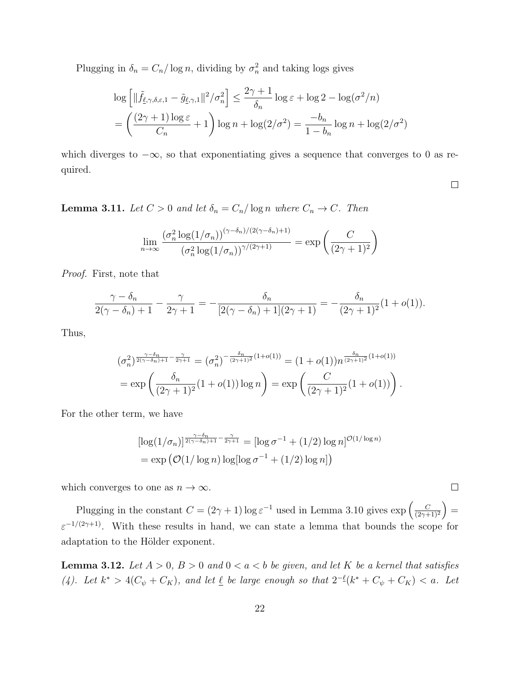Plugging in  $\delta_n = C_n / \log n$ , dividing by  $\sigma_n^2$  and taking logs gives

$$
\log\left[\|\tilde{f}_{\underline{\ell},\gamma,\delta,\varepsilon,1} - \tilde{g}_{\underline{\ell},\gamma,1}\|^2/\sigma_n^2\right] \le \frac{2\gamma+1}{\delta_n} \log \varepsilon + \log 2 - \log(\sigma^2/n)
$$

$$
= \left(\frac{(2\gamma+1)\log \varepsilon}{C_n} + 1\right) \log n + \log(2/\sigma^2) = \frac{-b_n}{1-b_n} \log n + \log(2/\sigma^2)
$$

which diverges to  $-\infty$ , so that exponentiating gives a sequence that converges to 0 as required.

 $\Box$ 

**Lemma 3.11.** Let  $C > 0$  and let  $\delta_n = C_n / \log n$  where  $C_n \to C$ . Then

$$
\lim_{n \to \infty} \frac{(\sigma_n^2 \log(1/\sigma_n))^{(\gamma - \delta_n)/(2(\gamma - \delta_n) + 1)}}{(\sigma_n^2 \log(1/\sigma_n))^{\gamma/(2\gamma + 1)}} = \exp\left(\frac{C}{(2\gamma + 1)^2}\right)
$$

Proof. First, note that

$$
\frac{\gamma - \delta_n}{2(\gamma - \delta_n) + 1} - \frac{\gamma}{2\gamma + 1} = -\frac{\delta_n}{[2(\gamma - \delta_n) + 1](2\gamma + 1)} = -\frac{\delta_n}{(2\gamma + 1)^2} (1 + o(1)).
$$

Thus,

$$
(\sigma_n^2)^{\frac{\gamma-\delta_n}{2(\gamma-\delta_n)+1} - \frac{\gamma}{2\gamma+1}} = (\sigma_n^2)^{-\frac{\delta_n}{(2\gamma+1)^2}(1+o(1))} = (1+o(1))n^{\frac{\delta_n}{(2\gamma+1)^2}(1+o(1))}
$$
  
=  $\exp\left(\frac{\delta_n}{(2\gamma+1)^2}(1+o(1))\log n\right) = \exp\left(\frac{C}{(2\gamma+1)^2}(1+o(1))\right).$ 

For the other term, we have

$$
\left[\log(1/\sigma_n)\right]^{\frac{\gamma-\delta_n}{2(\gamma-\delta_n)+1} - \frac{\gamma}{2\gamma+1}} = \left[\log \sigma^{-1} + (1/2)\log n\right]^{\mathcal{O}(1/\log n)}
$$

$$
= \exp\left(\mathcal{O}(1/\log n)\log\left[\log \sigma^{-1} + (1/2)\log n\right]\right)
$$

which converges to one as  $n \to \infty$ .

Plugging in the constant  $C = (2\gamma + 1) \log \varepsilon^{-1}$  used in Lemma 3.10 gives  $\exp \left( \frac{C}{2\gamma + 1} \right)$  $\frac{C}{(2\gamma+1)^2}$  =  $\varepsilon^{-1/(2\gamma+1)}$ . With these results in hand, we can state a lemma that bounds the scope for adaptation to the Hölder exponent.

**Lemma 3.12.** Let  $A > 0$ ,  $B > 0$  and  $0 < a < b$  be given, and let K be a kernel that satisfies (4). Let  $k^* > 4(C_\psi + C_K)$ , and let  $\underline{\ell}$  be large enough so that  $2^{-\ell}(k^* + C_\psi + C_K) < a$ . Let

 $\Box$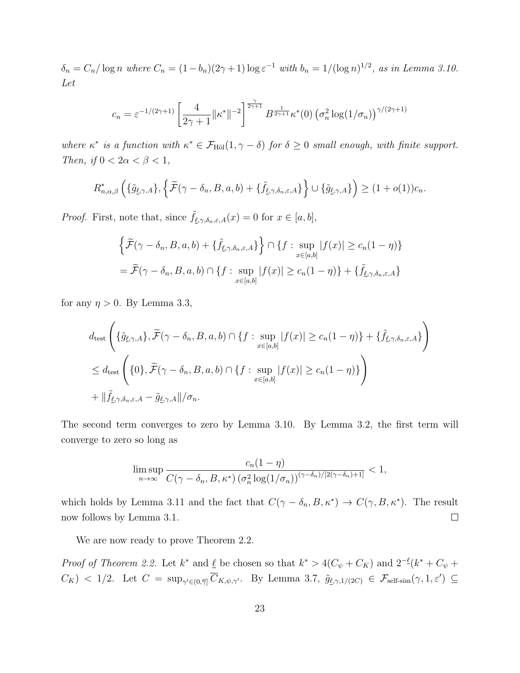$\delta_n = C_n / \log n$  where  $C_n = (1 - b_n)(2\gamma + 1) \log \varepsilon^{-1}$  with  $b_n = 1/(\log n)^{1/2}$ , as in Lemma 3.10. Let

$$
c_n = \varepsilon^{-1/(2\gamma+1)} \left[ \frac{4}{2\gamma+1} \|\kappa^*\|^{-2} \right]^{\frac{\gamma}{2\gamma+1}} B^{\frac{1}{2\gamma+1}} \kappa^*(0) \left( \sigma_n^2 \log(1/\sigma_n) \right)^{\gamma/(2\gamma+1)}
$$

where  $\kappa^*$  is a function with  $\kappa^* \in \mathcal{F}_{\text{H\"ol}}(1,\gamma-\delta)$  for  $\delta \geq 0$  small enough, with finite support. Then, if  $0 < 2\alpha < \beta < 1$ ,

$$
R_{n,\alpha,\beta}^*\left(\{\tilde{g}_{\underline{\ell},\gamma,A}\},\left\{\widetilde{\mathcal{F}}(\gamma-\delta_n,B,a,b)+\{\tilde{f}_{\underline{\ell},\gamma,\delta_n,\varepsilon,A}\}\right\}\cup\{\tilde{g}_{\underline{\ell},\gamma,A}\}\right) \geq (1+o(1))c_n.
$$

*Proof.* First, note that, since  $\tilde{f}_{\ell,\gamma,\delta_n,\varepsilon,A}(x) = 0$  for  $x \in [a, b],$ 

$$
\left\{\widetilde{\mathcal{F}}(\gamma-\delta_n, B, a, b) + \{\widetilde{f}_{\underline{\ell},\gamma,\delta_n,\varepsilon,A}\}\right\} \cap \left\{f : \sup_{x \in [a,b]} |f(x)| \ge c_n(1-\eta)\right\}
$$

$$
= \widetilde{\mathcal{F}}(\gamma-\delta_n, B, a, b) \cap \left\{f : \sup_{x \in [a,b]} |f(x)| \ge c_n(1-\eta)\right\} + \{\widetilde{f}_{\underline{\ell},\gamma,\delta_n,\varepsilon,A}\}
$$

for any  $\eta > 0$ . By Lemma 3.3,

$$
d_{\text{test}} \left( \{ \tilde{g}_{\underline{\ell}, \gamma, A} \}, \tilde{\mathcal{F}}(\gamma - \delta_n, B, a, b) \cap \{ f : \sup_{x \in [a, b]} |f(x)| \ge c_n (1 - \eta) \} + \{ \tilde{f}_{\underline{\ell}, \gamma, \delta_n, \varepsilon, A} \} \right)
$$
  

$$
\le d_{\text{test}} \left( \{ 0 \}, \tilde{\mathcal{F}}(\gamma - \delta_n, B, a, b) \cap \{ f : \sup_{x \in [a, b]} |f(x)| \ge c_n (1 - \eta) \} \right)
$$
  

$$
+ ||\tilde{f}_{\underline{\ell}, \gamma, \delta_n, \varepsilon, A} - \tilde{g}_{\underline{\ell}, \gamma, A} ||/\sigma_n.
$$

The second term converges to zero by Lemma 3.10. By Lemma 3.2, the first term will converge to zero so long as

$$
\limsup_{n\to\infty}\frac{c_n(1-\eta)}{C(\gamma-\delta_n,B,\kappa^*)\left(\sigma_n^2\log(1/\sigma_n)\right)^{(\gamma-\delta_n)/[2(\gamma-\delta_n)+1]}}<1,
$$

which holds by Lemma 3.11 and the fact that  $C(\gamma - \delta_n, B, \kappa^*) \to C(\gamma, B, \kappa^*)$ . The result now follows by Lemma 3.1.  $\Box$ 

We are now ready to prove Theorem 2.2.

*Proof of Theorem 2.2.* Let  $k^*$  and  $\underline{\ell}$  be chosen so that  $k^* > 4(C_{\psi} + C_K)$  and  $2^{-\underline{\ell}}(k^* + C_{\psi} + C_K)$  $C_K$ ) < 1/2. Let  $C = \sup_{\gamma' \in (0,\overline{\gamma}]} \overline{C}_{K,\psi,\gamma'}$ . By Lemma 3.7,  $\tilde{g}_{\ell,\gamma,1/(2C)} \in \mathcal{F}_{\text{self-sim}}(\gamma,1,\varepsilon') \subseteq$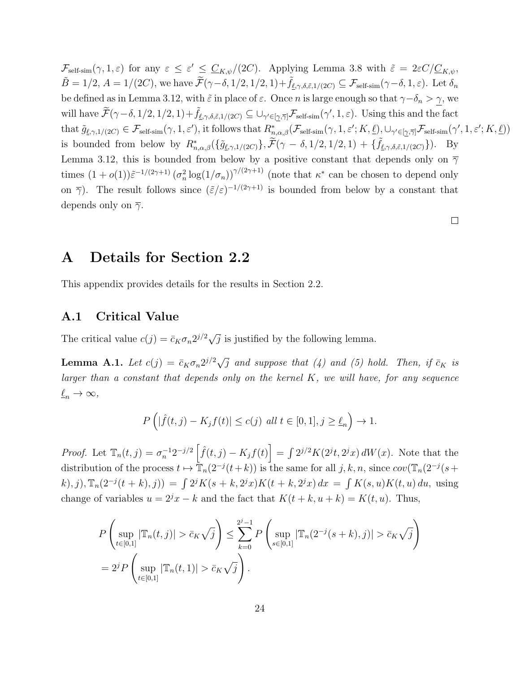$\mathcal{F}_{\text{self-sim}}(\gamma, 1, \varepsilon)$  for any  $\varepsilon \leq \varepsilon' \leq \underline{C}_{K,\psi}/(2C)$ . Applying Lemma 3.8 with  $\tilde{\varepsilon} = 2\varepsilon C/\underline{C}_{K,\psi}$ ,  $\tilde{B} = 1/2$ ,  $A = 1/(2C)$ , we have  $\tilde{\mathcal{F}}(\gamma-\delta, 1/2, 1/2, 1)+\tilde{f}_{\ell,\gamma,\delta,\tilde{\varepsilon},1/(2C)} \subseteq \mathcal{F}_{\text{self-sim}}(\gamma-\delta, 1, \varepsilon)$ . Let  $\delta_n$ be defined as in Lemma 3.12, with  $\tilde{\varepsilon}$  in place of  $\varepsilon$ . Once n is large enough so that  $\gamma-\delta_n > \gamma$ , we will have  $\widetilde{\mathcal{F}}(\gamma-\delta,1/2,1/2,1)+\widetilde{f}_{\ell,\gamma,\delta,\tilde{\varepsilon},1/(2C)}\subseteq\cup_{\gamma'\in[\underline{\gamma},\overline{\gamma}]} \mathcal{F}_{\mathrm{self-sim}}(\gamma',1,\varepsilon)$ . Using this and the fact that  $\tilde{g}_{\ell,\gamma,1/(2C)} \in \mathcal{F}_{\text{self-sim}}(\gamma,1,\varepsilon'),$  it follows that  $R^*_{n,\alpha,\beta}(\mathcal{F}_{\text{self-sim}}(\gamma,1,\varepsilon';K,\underline{\ell}), \cup_{\gamma' \in [\underline{\gamma},\overline{\gamma}]} \mathcal{F}_{\text{self-sim}}(\gamma',1,\varepsilon';K,\underline{\ell}))$ is bounded from below by  $R^*_{n,\alpha,\beta}(\{\tilde{g}_{\ell,\gamma,1/(2C)}\},\widetilde{\mathcal{F}}(\gamma-\delta,1/2,1/2,1) + \{\tilde{f}_{\ell,\gamma,\delta,\tilde{\varepsilon},1/(2C)}\})$ . By Lemma 3.12, this is bounded from below by a positive constant that depends only on  $\overline{\gamma}$ times  $(1+o(1))\tilde{\varepsilon}^{-1/(2\gamma+1)}\left(\sigma_n^2\log(1/\sigma_n)\right)^{\gamma/(2\gamma+1)}$  (note that  $\kappa^*$  can be chosen to depend only on  $\bar{\gamma}$ ). The result follows since  $(\tilde{\varepsilon}/\varepsilon)^{-1/(2\gamma+1)}$  is bounded from below by a constant that depends only on  $\overline{\gamma}$ .

 $\Box$ 

### A Details for Section 2.2

This appendix provides details for the results in Section 2.2.

### A.1 Critical Value

The critical value  $c(j) = \bar{c}_K \sigma_n 2^{j/2} \sqrt{j}$  is justified by the following lemma.

**Lemma A.1.** Let  $c(j) = \bar{c}_K \sigma_n 2^{j/2} \sqrt{j}$  and suppose that (4) and (5) hold. Then, if  $\bar{c}_K$  is larger than a constant that depends only on the kernel  $K$ , we will have, for any sequence  $\underline{\ell}_n \to \infty$ ,

$$
P\left(|\hat{f}(t,j) - K_j f(t)| \le c(j) \text{ all } t \in [0,1], j \ge \underline{\ell}_n\right) \to 1.
$$

*Proof.* Let  $\mathbb{T}_n(t,j) = \sigma_n^{-1} 2^{-j/2} \left[ \hat{f}(t,j) - K_j f(t) \right] = \int 2^{j/2} K(2^{j}t, 2^{j}x) dW(x)$ . Note that the distribution of the process  $t \mapsto \overline{T}_n(2^{-j}(t+k))$  is the same for all  $j, k, n$ , since  $cov(\overline{T}_n(2^{-j}(s+k)))$ k), j),  $\mathbb{T}_n(2^{-j}(t+k), j) = \int 2^j K(s+k, 2^j x) K(t+k, 2^j x) dx = \int K(s, u) K(t, u) du$ , using change of variables  $u = 2^{j}x - k$  and the fact that  $K(t + k, u + k) = K(t, u)$ . Thus,

$$
P\left(\sup_{t\in[0,1]} |\mathbb{T}_n(t,j)| > \bar{c}_K \sqrt{j}\right) \le \sum_{k=0}^{2^j-1} P\left(\sup_{s\in[0,1]} |\mathbb{T}_n(2^{-j}(s+k),j)| > \bar{c}_K \sqrt{j}\right)
$$
  
=  $2^j P\left(\sup_{t\in[0,1]} |\mathbb{T}_n(t,1)| > \bar{c}_K \sqrt{j}\right).$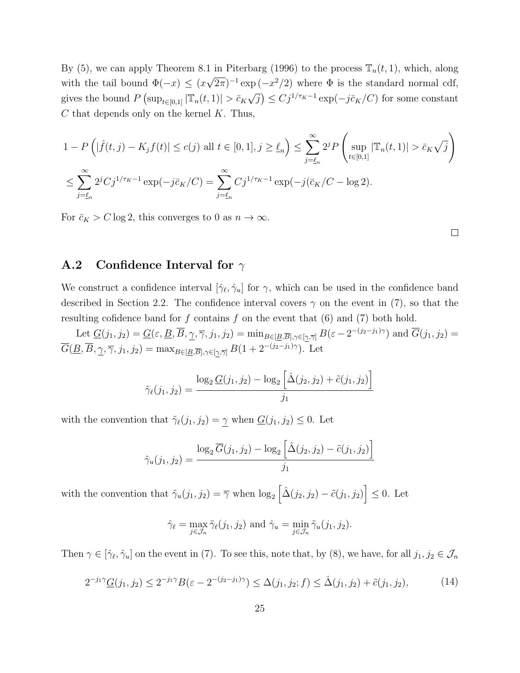By (5), we can apply Theorem 8.1 in Piterbarg (1996) to the process  $\mathbb{T}_n(t,1)$ , which, along with the tail bound  $\Phi(-x) \leq (x)$ √  $(\overline{2\pi})^{-1}$  exp  $(-x^2/2)$  where  $\Phi$  is the standard normal cdf, gives the bound  $P(\sup_{t\in[0,1]}|\mathbb{T}_n(t,1)|>\bar{c}_K\sqrt{j})\leq Cj^{1/\tau_K-1}\exp(-j\bar{c}_K/C)$  for some constant √  $C$  that depends only on the kernel  $K$ . Thus,

$$
1 - P\left(|\hat{f}(t,j) - K_j f(t)| \le c(j) \text{ all } t \in [0,1], j \ge \underline{\ell}_n\right) \le \sum_{j=\underline{\ell}_n}^{\infty} 2^j P\left(\sup_{t \in [0,1]} |\mathbb{T}_n(t,1)| > \bar{c}_K \sqrt{j}\right)
$$
  

$$
\le \sum_{j=\underline{\ell}_n}^{\infty} 2^j C j^{1/\tau_K - 1} \exp(-j\bar{c}_K/C) = \sum_{j=\underline{\ell}_n}^{\infty} C j^{1/\tau_K - 1} \exp(-j(\bar{c}_K/C - \log 2).
$$

For  $\bar{c}_K > C \log 2$ , this converges to 0 as  $n \to \infty$ .

#### A.2 Confidence Interval for  $\gamma$

We construct a confidence interval  $[\hat{\gamma}_{\ell}, \hat{\gamma}_{u}]$  for  $\gamma$ , which can be used in the confidence band described in Section 2.2. The confidence interval covers  $\gamma$  on the event in (7), so that the resulting cofidence band for f contains f on the event that  $(6)$  and  $(7)$  both hold.

Let  $\underline{G}(j_1, j_2) = \underline{G}(\varepsilon, \underline{B}, \overline{B}, \underline{\gamma}, \overline{\gamma}, j_1, j_2) = \min_{B \in [\underline{B}, \overline{B}], \gamma \in [\gamma, \overline{\gamma}]} B(\varepsilon - 2^{-(j_2 - j_1)\gamma})$  and  $\overline{G}(j_1, j_2) =$  $\overline{G}(\underline{B}, \overline{B}, \underline{\gamma}, \overline{\gamma}, j_1, j_2) = \max_{B \in [\underline{B}, \overline{B}], \gamma \in [\gamma, \overline{\gamma}]} B(1 + 2^{-(j_2 - j_1)\gamma}).$  Let

$$
\tilde{\gamma}_{\ell}(j_1, j_2) = \frac{\log_2 \underline{G}(j_1, j_2) - \log_2 \left[ \hat{\Delta}(j_2, j_2) + \tilde{c}(j_1, j_2) \right]}{j_1}
$$

with the convention that  $\tilde{\gamma}_{\ell}(j_1, j_2) = \gamma$  when  $\underline{G}(j_1, j_2) \leq 0$ . Let

$$
\tilde{\gamma}_u(j_1, j_2) = \frac{\log_2 \overline{G}(j_1, j_2) - \log_2 \left[ \hat{\Delta}(j_2, j_2) - \tilde{c}(j_1, j_2) \right]}{j_1}
$$

with the convention that  $\tilde{\gamma}_u(j_1, j_2) = \overline{\gamma}$  when  $\log_2 \left[ \hat{\Delta}(j_2, j_2) - \tilde{c}(j_1, j_2) \right] \leq 0$ . Let

$$
\hat{\gamma}_{\ell} = \max_{j \in \mathcal{J}_n} \tilde{\gamma}_{\ell}(j_1, j_2) \text{ and } \hat{\gamma}_u = \min_{j \in \mathcal{J}_n} \tilde{\gamma}_u(j_1, j_2).
$$

Then  $\gamma \in [\hat{\gamma}_\ell, \hat{\gamma}_u]$  on the event in (7). To see this, note that, by (8), we have, for all  $j_1, j_2 \in \mathcal{J}_n$ 

$$
2^{-j_1 \gamma} \underline{G}(j_1, j_2) \le 2^{-j_1 \gamma} B(\varepsilon - 2^{-(j_2 - j_1)\gamma}) \le \Delta(j_1, j_2; f) \le \hat{\Delta}(j_1, j_2) + \tilde{c}(j_1, j_2),\tag{14}
$$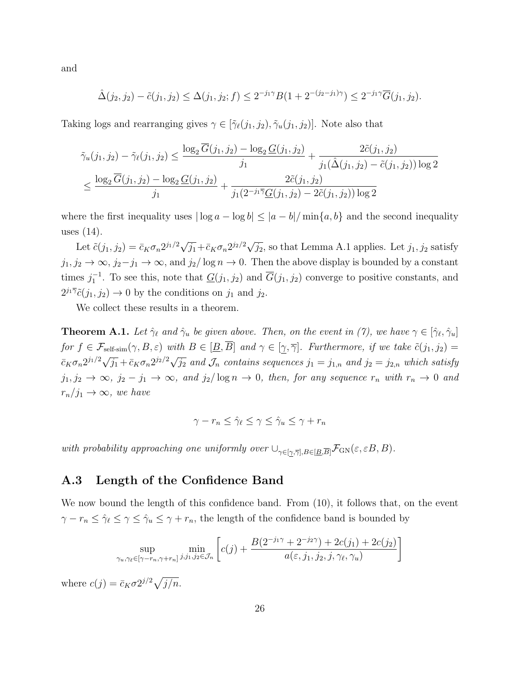and

$$
\hat{\Delta}(j_2, j_2) - \tilde{c}(j_1, j_2) \le \Delta(j_1, j_2; f) \le 2^{-j_1 \gamma} B(1 + 2^{-(j_2 - j_1)\gamma}) \le 2^{-j_1 \gamma} \overline{G}(j_1, j_2).
$$

Taking logs and rearranging gives  $\gamma \in [\tilde{\gamma}_{\ell}(j_1, j_2), \tilde{\gamma}_{\ell}(j_1, j_2)]$ . Note also that

$$
\tilde{\gamma}_u(j_1, j_2) - \tilde{\gamma}_\ell(j_1, j_2) \le \frac{\log_2 \overline{G}(j_1, j_2) - \log_2 \underline{G}(j_1, j_2)}{j_1} + \frac{2\tilde{c}(j_1, j_2)}{j_1(\hat{\Delta}(j_1, j_2) - \tilde{c}(j_1, j_2))\log 2}
$$
\n
$$
\le \frac{\log_2 \overline{G}(j_1, j_2) - \log_2 \underline{G}(j_1, j_2)}{j_1} + \frac{2\tilde{c}(j_1, j_2)}{j_1(2^{-j_1\overline{\gamma}}\underline{G}(j_1, j_2) - 2\tilde{c}(j_1, j_2))\log 2}
$$

where the first inequality uses  $|\log a - \log b| \leq |a - b| / \min\{a, b\}$  and the second inequality uses (14).

Let  $\tilde{c}(j_1, j_2) = \bar{c}_K \sigma_n 2^{j_1/2} \sqrt{j_1} + \bar{c}_K \sigma_n 2^{j_2/2} \sqrt{j_2}$ , so that Lemma A.1 applies. Let  $j_1, j_2$  satisfy  $j_1, j_2 \to \infty$ ,  $j_2 - j_1 \to \infty$ , and  $j_2/\log n \to 0$ . Then the above display is bounded by a constant times  $j_1^{-1}$ . To see this, note that  $\underline{G}(j_1, j_2)$  and  $\overline{G}(j_1, j_2)$  converge to positive constants, and  $2^{j_1\overline{\gamma}}\tilde{c}(j_1, j_2) \to 0$  by the conditions on  $j_1$  and  $j_2$ .

We collect these results in a theorem.

**Theorem A.1.** Let  $\hat{\gamma}_\ell$  and  $\hat{\gamma}_u$  be given above. Then, on the event in (7), we have  $\gamma \in [\hat{\gamma}_\ell, \hat{\gamma}_u]$ for  $f \in \mathcal{F}_{\text{self-sim}}(\gamma, B, \varepsilon)$  with  $B \in [\underline{B}, \overline{B}]$  and  $\gamma \in [\gamma, \overline{\gamma}]$ . Furthermore, if we take  $\tilde{c}(j_1, j_2)$  $\overline{c}_K \sigma_n 2^{j_1/2} \sqrt{j_1} + \overline{c}_K \sigma_n 2^{j_2/2} \sqrt{j_2}$  and  $\mathcal{J}_n$  contains sequences  $j_1 = j_{1,n}$  and  $j_2 = j_{2,n}$  which satisfy  $j_1, j_2 \to \infty$ ,  $j_2 - j_1 \to \infty$ , and  $j_2/\log n \to 0$ , then, for any sequence  $r_n$  with  $r_n \to 0$  and  $r_n/j_1 \rightarrow \infty$ , we have

$$
\gamma - r_n \le \hat{\gamma}_\ell \le \gamma \le \hat{\gamma}_u \le \gamma + r_n
$$

with probability approaching one uniformly over  $\cup_{\gamma \in [\gamma, \overline{\gamma}], B \in [\underline{B}, \overline{B}]} \mathcal{F}_{\text{GN}}(\varepsilon, \varepsilon B, B)$ .

### A.3 Length of the Confidence Band

We now bound the length of this confidence band. From (10), it follows that, on the event  $\gamma - r_n \leq \hat{\gamma}_\ell \leq \gamma \leq \hat{\gamma}_u \leq \gamma + r_n$ , the length of the confidence band is bounded by

$$
\sup_{\gamma_u,\gamma_\ell \in [\gamma - r_n, \gamma + r_n]} \min_{j,j_1,j_2 \in \mathcal{J}_n} \left[ c(j) + \frac{B(2^{-j_1\gamma} + 2^{-j_2\gamma}) + 2c(j_1) + 2c(j_2)}{a(\varepsilon, j_1, j_2, j, \gamma_\ell, \gamma_u)} \right]
$$

where  $c(j) = \bar{c}_K \sigma 2^{j/2} \sqrt{j/n}$ .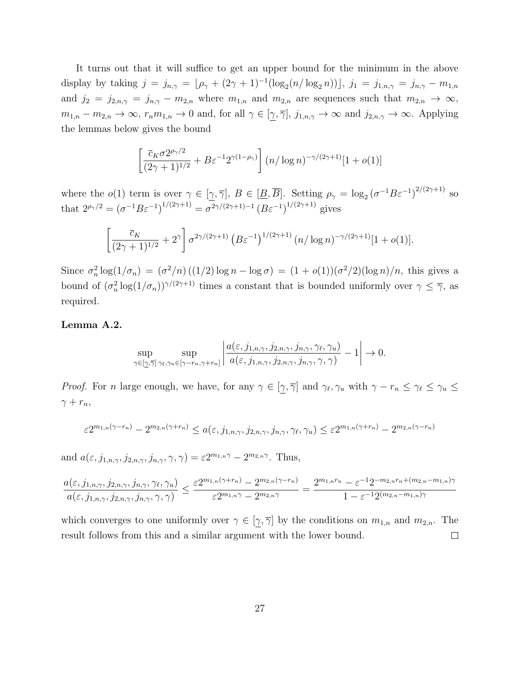It turns out that it will suffice to get an upper bound for the minimum in the above display by taking  $j = j_{n,\gamma} = \lfloor \rho_{\gamma} + (2\gamma + 1)^{-1} (\log_2(n/\log_2 n)) \rfloor$ ,  $j_1 = j_{1,n,\gamma} = j_{n,\gamma} - m_{1,n}$ and  $j_2 = j_{2,n,\gamma} = j_{n,\gamma} - m_{2,n}$  where  $m_{1,n}$  and  $m_{2,n}$  are sequences such that  $m_{2,n} \to \infty$ ,  $m_{1,n} - m_{2,n} \to \infty$ ,  $r_n m_{1,n} \to 0$  and, for all  $\gamma \in [\gamma, \overline{\gamma}], j_{1,n,\gamma} \to \infty$  and  $j_{2,n,\gamma} \to \infty$ . Applying the lemmas below gives the bound

$$
\left[\frac{\overline{c}_K \sigma 2^{\rho_\gamma/2}}{(2\gamma+1)^{1/2}} + B \varepsilon^{-1} 2^{\gamma(1-\rho_\gamma)}\right] (n/\log n)^{-\gamma/(2\gamma+1)} [1+o(1)]
$$

where the  $o(1)$  term is over  $\gamma \in [\underline{\gamma}, \overline{\gamma}]$ ,  $B \in [\underline{B}, \overline{B}]$ . Setting  $\rho_{\gamma} = \log_2 (\sigma^{-1} B \varepsilon^{-1})^{2/(2\gamma+1)}$  so that  $2^{\rho_{\gamma}/2} = (\sigma^{-1}B\varepsilon^{-1})^{1/(2\gamma+1)} = \sigma^{2\gamma/(2\gamma+1)-1} (B\varepsilon^{-1})^{1/(2\gamma+1)}$  gives

$$
\left[\frac{\overline{c}_K}{(2\gamma+1)^{1/2}} + 2^{\gamma}\right] \sigma^{2\gamma/(2\gamma+1)} \left(B\varepsilon^{-1}\right)^{1/(2\gamma+1)} (n/\log n)^{-\gamma/(2\gamma+1)} [1+o(1)].
$$

Since  $\sigma_n^2 \log(1/\sigma_n) = (\sigma^2/n)((1/2)\log n - \log \sigma) = (1 + o(1))(\sigma^2/2)(\log n)/n$ , this gives a bound of  $(\sigma_n^2 \log(1/\sigma_n))^{\gamma/(2\gamma+1)}$  times a constant that is bounded uniformly over  $\gamma \leq \overline{\gamma}$ , as required.

#### Lemma A.2.

$$
\sup_{\gamma \in [\underline{\gamma}, \overline{\gamma}]}\sup_{\gamma_{\ell}, \gamma_{u} \in [\gamma - r_{n}, \gamma + r_{n}]} \left| \frac{a(\varepsilon, j_{1,n,\gamma}, j_{2,n,\gamma}, j_{n,\gamma}, \gamma_{\ell}, \gamma_{u})}{a(\varepsilon, j_{1,n,\gamma}, j_{2,n,\gamma}, j_{n,\gamma}, \gamma, \gamma)} - 1 \right| \to 0.
$$

*Proof.* For n large enough, we have, for any  $\gamma \in [\gamma, \overline{\gamma}]$  and  $\gamma_{\ell}, \gamma_u$  with  $\gamma - r_n \leq \gamma_{\ell} \leq \gamma_u \leq \gamma_u$  $\gamma + r_n$ ,

$$
\varepsilon 2^{m_{1,n}(\gamma - r_n)} - 2^{m_{2,n}(\gamma + r_n)} \le a(\varepsilon, j_{1,n,\gamma}, j_{2,n,\gamma}, j_{n,\gamma}, \gamma_\ell, \gamma_u) \le \varepsilon 2^{m_{1,n}(\gamma + r_n)} - 2^{m_{2,n}(\gamma - r_n)}
$$

and  $a(\varepsilon, j_{1,n,\gamma}, j_{2,n,\gamma}, j_{n,\gamma}, \gamma, \gamma) = \varepsilon 2^{m_{1,n}\gamma} - 2^{m_{2,n}\gamma}$ . Thus,

$$
\frac{a(\varepsilon,j_{1,n,\gamma},j_{2,n,\gamma},j_{n,\gamma},\gamma_\ell,\gamma_u)}{a(\varepsilon,j_{1,n,\gamma},j_{2,n,\gamma},j_{n,\gamma},\gamma,\gamma)}\leq \frac{\varepsilon2^{m_{1,n}(\gamma+r_n)}-2^{m_{2,n}(\gamma-r_n)}}{\varepsilon2^{m_{1,n}\gamma}-2^{m_{2,n}\gamma}}=\frac{2^{m_{1,n}r_n}-\varepsilon^{-1}2^{-m_{2,n}r_n+(m_{2,n}-m_{1,n})\gamma}}{1-\varepsilon^{-1}2^{(m_{2,n}-m_{1,n})\gamma}}
$$

which converges to one uniformly over  $\gamma \in [\gamma, \overline{\gamma}]$  by the conditions on  $m_{1,n}$  and  $m_{2,n}$ . The result follows from this and a similar argument with the lower bound.  $\Box$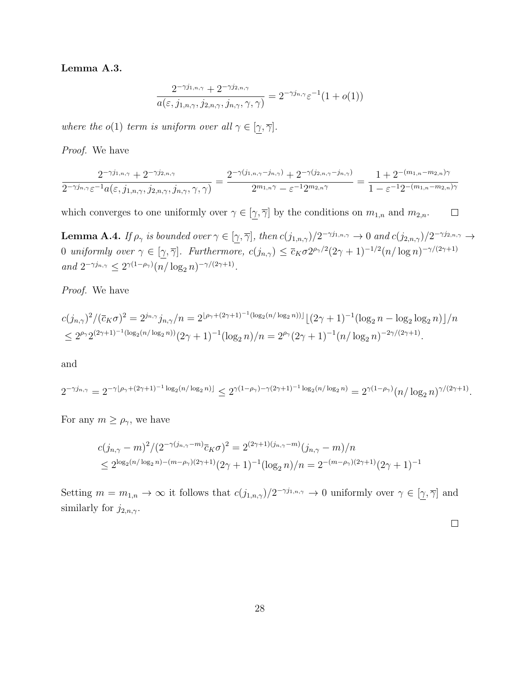Lemma A.3.

$$
\frac{2^{-\gamma j_{1,n,\gamma}} + 2^{-\gamma j_{2,n,\gamma}}}{a(\varepsilon, j_{1,n,\gamma}, j_{2,n,\gamma}, j_{n,\gamma}, \gamma, \gamma)} = 2^{-\gamma j_{n,\gamma}} \varepsilon^{-1} (1 + o(1))
$$

where the o(1) term is uniform over all  $\gamma \in [\gamma, \overline{\gamma}]$ .

Proof. We have

$$
\frac{2^{-\gamma j_{1,n,\gamma}}+2^{-\gamma j_{2,n,\gamma}}}{2^{-\gamma j_{n,\gamma}}\varepsilon^{-1}a(\varepsilon,j_{1,n,\gamma},j_{2,n,\gamma},j_{n,\gamma},\gamma,\gamma)}=\frac{2^{-\gamma(j_{1,n,\gamma}-j_{n,\gamma})}+2^{-\gamma(j_{2,n,\gamma}-j_{n,\gamma})}}{2^{m_{1,n}\gamma}-\varepsilon^{-1}2^{m_{2,n}\gamma}}=\frac{1+2^{-(m_{1,n}-m_{2,n})\gamma}}{1-\varepsilon^{-1}2^{-(m_{1,n}-m_{2,n})\gamma}}
$$

which converges to one uniformly over  $\gamma \in [\gamma, \overline{\gamma}]$  by the conditions on  $m_{1,n}$  and  $m_{2,n}$ .  $\Box$ 

**Lemma A.4.** If  $\rho_{\gamma}$  is bounded over  $\gamma \in [\gamma, \overline{\gamma}]$ , then  $c(j_{1,n,\gamma})/2^{-\gamma j_{1,n,\gamma}} \to 0$  and  $c(j_{2,n,\gamma})/2^{-\gamma j_{2,n,\gamma}} \to$ 0 uniformly over  $\gamma \in [\gamma, \overline{\gamma}]$ . Furthermore,  $c(j_{n,\gamma}) \leq \overline{c}_K \sigma 2^{\rho_{\gamma}/2} (2\gamma+1)^{-1/2} (n/\log n)^{-\gamma/(2\gamma+1)}$ and  $2^{-\gamma j_{n,\gamma}} \leq 2^{\gamma(1-\rho_{\gamma})} (n/\log_2 n)^{-\gamma/(2\gamma+1)}$ .

Proof. We have

$$
c(j_{n,\gamma})^2/(\overline{c}_K\sigma)^2 = 2^{j_{n,\gamma}}j_{n,\gamma}/n = 2^{\lfloor \rho_\gamma + (2\gamma + 1)^{-1}(\log_2(n/\log_2 n)) \rfloor} \lfloor (2\gamma + 1)^{-1}(\log_2 n - \log_2 \log_2 n) \rfloor/n
$$
  
\$\leq 2^{\rho\_\gamma}2^{(2\gamma + 1)^{-1}(\log\_2(n/\log\_2 n))}(2\gamma + 1)^{-1}(\log\_2 n)/n = 2^{\rho\_\gamma}(2\gamma + 1)^{-1}(n/\log\_2 n)^{-2\gamma/(2\gamma + 1)}.

and

$$
2^{-\gamma j_{n,\gamma}} = 2^{-\gamma \lfloor \rho_\gamma + (2\gamma + 1)^{-1} \log_2(n/\log_2 n) \rfloor} \leq 2^{\gamma (1 - \rho_\gamma) - \gamma (2\gamma + 1)^{-1} \log_2(n/\log_2 n)} = 2^{\gamma (1 - \rho_\gamma)} (n/\log_2 n)^{\gamma/(2\gamma + 1)}.
$$

For any  $m \geq \rho_{\gamma}$ , we have

$$
c(j_{n,\gamma}-m)^2/(2^{-\gamma(j_{n,\gamma}-m)}\overline{c}_K\sigma)^2 = 2^{(2\gamma+1)(j_{n,\gamma}-m)}(j_{n,\gamma}-m)/n
$$
  
\$\leq 2^{\log\_2(n/\log\_2 n)-(m-\rho\_\gamma)(2\gamma+1)}(2\gamma+1)^{-1}(\log\_2 n)/n = 2^{-(m-\rho\_\gamma)(2\gamma+1)}(2\gamma+1)^{-1}\$

Setting  $m = m_{1,n} \to \infty$  it follows that  $c(j_{1,n,\gamma})/2^{-\gamma j_{1,n,\gamma}} \to 0$  uniformly over  $\gamma \in [\gamma, \overline{\gamma}]$  and similarly for  $j_{2,n,\gamma}$ .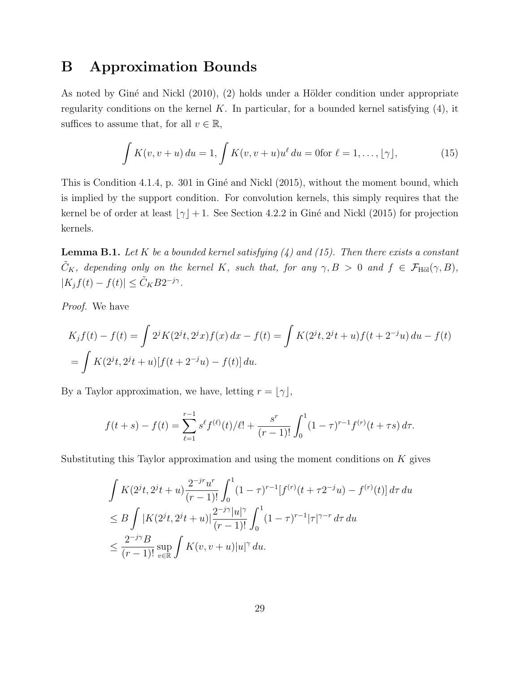## B Approximation Bounds

As noted by Giné and Nickl  $(2010)$ ,  $(2)$  holds under a Hölder condition under appropriate regularity conditions on the kernel  $K$ . In particular, for a bounded kernel satisfying  $(4)$ , it suffices to assume that, for all  $v \in \mathbb{R}$ ,

$$
\int K(v, v + u) \, du = 1, \int K(v, v + u) u^{\ell} \, du = 0 \text{for } \ell = 1, \dots, \lfloor \gamma \rfloor,
$$
\n(15)

This is Condition 4.1.4, p. 301 in Giné and Nickl  $(2015)$ , without the moment bound, which is implied by the support condition. For convolution kernels, this simply requires that the kernel be of order at least  $\lfloor \gamma \rfloor + 1$ . See Section 4.2.2 in Giné and Nickl (2015) for projection kernels.

**Lemma B.1.** Let K be a bounded kernel satisfying  $(4)$  and  $(15)$ . Then there exists a constant  $\tilde{C}_K$ , depending only on the kernel K, such that, for any  $\gamma, B > 0$  and  $f \in \mathcal{F}_{\text{H\"ol}}(\gamma, B)$ ,  $|K_j f(t) - f(t)| \leq \tilde{C}_K B 2^{-j\gamma}.$ 

Proof. We have

$$
K_j f(t) - f(t) = \int 2^j K(2^j t, 2^j x) f(x) dx - f(t) = \int K(2^j t, 2^j t + u) f(t + 2^{-j} u) du - f(t)
$$
  
= 
$$
\int K(2^j t, 2^j t + u) [f(t + 2^{-j} u) - f(t)] du.
$$

By a Taylor approximation, we have, letting  $r = \lfloor \gamma \rfloor$ ,

$$
f(t+s) - f(t) = \sum_{\ell=1}^{r-1} s^{\ell} f^{(\ell)}(t) / \ell! + \frac{s^r}{(r-1)!} \int_0^1 (1-\tau)^{r-1} f^{(r)}(t+\tau s) d\tau.
$$

Substituting this Taylor approximation and using the moment conditions on  $K$  gives

$$
\int K(2^{j}t, 2^{j}t+u) \frac{2^{-j r} u^{r}}{(r-1)!} \int_{0}^{1} (1-\tau)^{r-1} [f^{(r)}(t+\tau 2^{-j}u) - f^{(r)}(t)] d\tau du
$$
\n
$$
\leq B \int |K(2^{j}t, 2^{j}t+u)| \frac{2^{-j \gamma} |u|^{\gamma}}{(r-1)!} \int_{0}^{1} (1-\tau)^{r-1} |\tau|^{\gamma-r} d\tau du
$$
\n
$$
\leq \frac{2^{-j \gamma} B}{(r-1)!} \sup_{v \in \mathbb{R}} \int K(v, v+u) |u|^{\gamma} du.
$$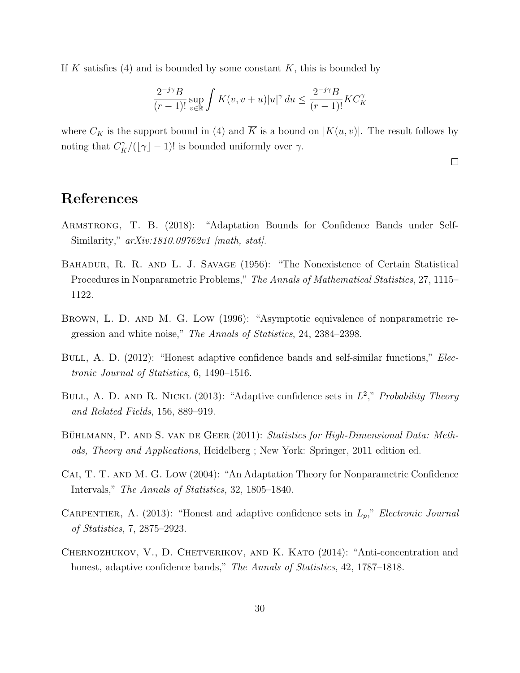If K satisfies (4) and is bounded by some constant  $\overline{K}$ , this is bounded by

$$
\frac{2^{-j\gamma}B}{(r-1)!}\sup_{v\in\mathbb{R}}\int K(v,v+u)|u|^\gamma\,du\leq \frac{2^{-j\gamma}B}{(r-1)!}\overline{K}C_K^\gamma
$$

where  $C_K$  is the support bound in (4) and  $\overline{K}$  is a bound on  $|K(u, v)|$ . The result follows by noting that  $C_K^{\gamma}/(\lfloor \gamma \rfloor - 1)!$  is bounded uniformly over  $\gamma$ .

 $\Box$ 

# References

- Armstrong, T. B. (2018): "Adaptation Bounds for Confidence Bands under Self-Similarity,"  $arXiv:1810.09762v1$  [math, stat].
- Bahadur, R. R. and L. J. Savage (1956): "The Nonexistence of Certain Statistical Procedures in Nonparametric Problems," The Annals of Mathematical Statistics, 27, 1115– 1122.
- Brown, L. D. and M. G. Low (1996): "Asymptotic equivalence of nonparametric regression and white noise," The Annals of Statistics, 24, 2384–2398.
- BULL, A. D. (2012): "Honest adaptive confidence bands and self-similar functions," *Elec*tronic Journal of Statistics, 6, 1490–1516.
- BULL, A. D. AND R. NICKL (2013): "Adaptive confidence sets in  $L^2$ ," Probability Theory and Related Fields, 156, 889–919.
- BÜHLMANN, P. AND S. VAN DE GEER (2011): Statistics for High-Dimensional Data: Methods, Theory and Applications, Heidelberg ; New York: Springer, 2011 edition ed.
- Cai, T. T. and M. G. Low (2004): "An Adaptation Theory for Nonparametric Confidence Intervals," The Annals of Statistics, 32, 1805–1840.
- CARPENTIER, A. (2013): "Honest and adaptive confidence sets in  $L_p$ ," Electronic Journal of Statistics, 7, 2875–2923.
- CHERNOZHUKOV, V., D. CHETVERIKOV, AND K. KATO (2014): "Anti-concentration and honest, adaptive confidence bands," The Annals of Statistics, 42, 1787–1818.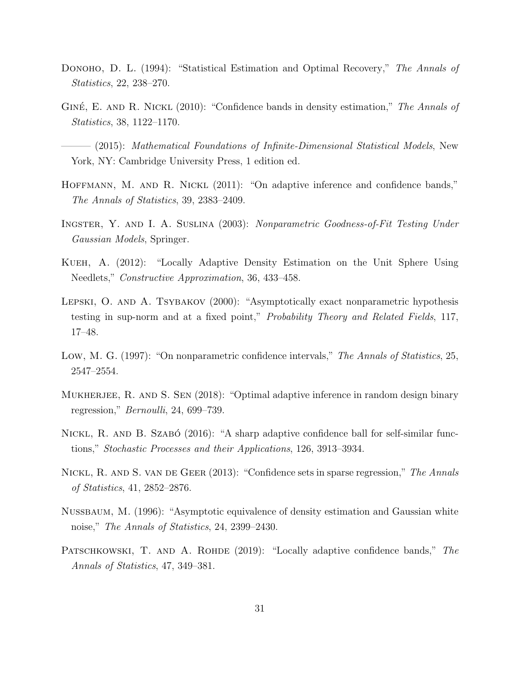- DONOHO, D. L. (1994): "Statistical Estimation and Optimal Recovery," The Annals of Statistics, 22, 238–270.
- GINÉ, E. AND R. NICKL  $(2010)$ : "Confidence bands in density estimation," The Annals of Statistics, 38, 1122–1170.
- $-$  (2015): Mathematical Foundations of Infinite-Dimensional Statistical Models, New York, NY: Cambridge University Press, 1 edition ed.
- HOFFMANN, M. AND R. NICKL (2011): "On adaptive inference and confidence bands," The Annals of Statistics, 39, 2383–2409.
- Ingster, Y. and I. A. Suslina (2003): Nonparametric Goodness-of-Fit Testing Under Gaussian Models, Springer.
- Kueh, A. (2012): "Locally Adaptive Density Estimation on the Unit Sphere Using Needlets," Constructive Approximation, 36, 433–458.
- Lepski, O. and A. Tsybakov (2000): "Asymptotically exact nonparametric hypothesis testing in sup-norm and at a fixed point," Probability Theory and Related Fields, 117, 17–48.
- Low, M. G. (1997): "On nonparametric confidence intervals," The Annals of Statistics, 25, 2547–2554.
- MUKHERJEE, R. AND S. SEN (2018): "Optimal adaptive inference in random design binary regression," Bernoulli, 24, 699–739.
- NICKL, R. AND B. SZABÓ (2016): "A sharp adaptive confidence ball for self-similar functions," Stochastic Processes and their Applications, 126, 3913–3934.
- NICKL, R. AND S. VAN DE GEER (2013): "Confidence sets in sparse regression," The Annals of Statistics, 41, 2852–2876.
- Nussbaum, M. (1996): "Asymptotic equivalence of density estimation and Gaussian white noise," The Annals of Statistics, 24, 2399–2430.
- PATSCHKOWSKI, T. AND A. ROHDE (2019): "Locally adaptive confidence bands," The Annals of Statistics, 47, 349–381.